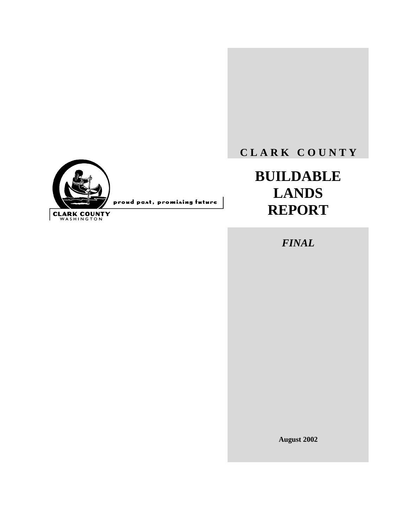# **C L A R K C O U N T Y**

# **BUILDABLE LANDS REPORT**

*FINAL*

**August 2002**



proud past, promising future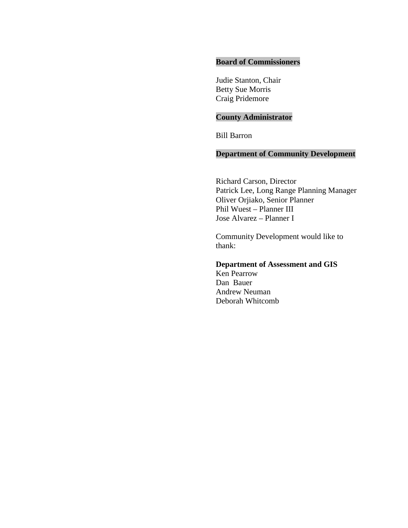### **Board of Commissioners**

Judie Stanton, Chair Betty Sue Morris Craig Pridemore

### **County Administrator**

Bill Barron

### **Department of Community Development**

Richard Carson, Director Patrick Lee, Long Range Planning Manager Oliver Orjiako, Senior Planner Phil Wuest – Planner III Jose Alvarez – Planner I

Community Development would like to thank:

### **Department of Assessment and GIS**

Ken Pearrow Dan Bauer Andrew Neuman Deborah Whitcomb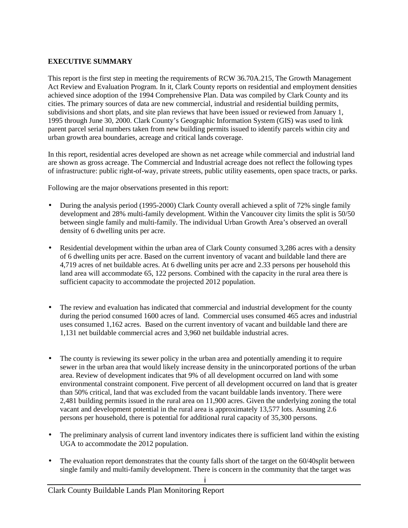### **EXECUTIVE SUMMARY**

This report is the first step in meeting the requirements of RCW 36.70A.215, The Growth Management Act Review and Evaluation Program. In it, Clark County reports on residential and employment densities achieved since adoption of the 1994 Comprehensive Plan. Data was compiled by Clark County and its cities. The primary sources of data are new commercial, industrial and residential building permits, subdivisions and short plats, and site plan reviews that have been issued or reviewed from January 1, 1995 through June 30, 2000. Clark County's Geographic Information System (GIS) was used to link parent parcel serial numbers taken from new building permits issued to identify parcels within city and urban growth area boundaries, acreage and critical lands coverage.

In this report, residential acres developed are shown as net acreage while commercial and industrial land are shown as gross acreage. The Commercial and Industrial acreage does not reflect the following types of infrastructure: public right-of-way, private streets, public utility easements, open space tracts, or parks.

Following are the major observations presented in this report:

- During the analysis period (1995-2000) Clark County overall achieved a split of 72% single family development and 28% multi-family development. Within the Vancouver city limits the split is 50/50 between single family and multi-family. The individual Urban Growth Area's observed an overall density of 6 dwelling units per acre.
- Residential development within the urban area of Clark County consumed 3,286 acres with a density of 6 dwelling units per acre. Based on the current inventory of vacant and buildable land there are 4,719 acres of net buildable acres. At 6 dwelling units per acre and 2.33 persons per household this land area will accommodate 65, 122 persons. Combined with the capacity in the rural area there is sufficient capacity to accommodate the projected 2012 population.
- The review and evaluation has indicated that commercial and industrial development for the county during the period consumed 1600 acres of land. Commercial uses consumed 465 acres and industrial uses consumed 1,162 acres. Based on the current inventory of vacant and buildable land there are 1,131 net buildable commercial acres and 3,960 net buildable industrial acres.
- The county is reviewing its sewer policy in the urban area and potentially amending it to require sewer in the urban area that would likely increase density in the unincorporated portions of the urban area. Review of development indicates that 9% of all development occurred on land with some environmental constraint component. Five percent of all development occurred on land that is greater than 50% critical, land that was excluded from the vacant buildable lands inventory. There were 2,481 building permits issued in the rural area on 11,900 acres. Given the underlying zoning the total vacant and development potential in the rural area is approximately 13,577 lots. Assuming 2.6 persons per household, there is potential for additional rural capacity of 35,300 persons.
- The preliminary analysis of current land inventory indicates there is sufficient land within the existing UGA to accommodate the 2012 population.
- The evaluation report demonstrates that the county falls short of the target on the 60/40split between single family and multi-family development. There is concern in the community that the target was

i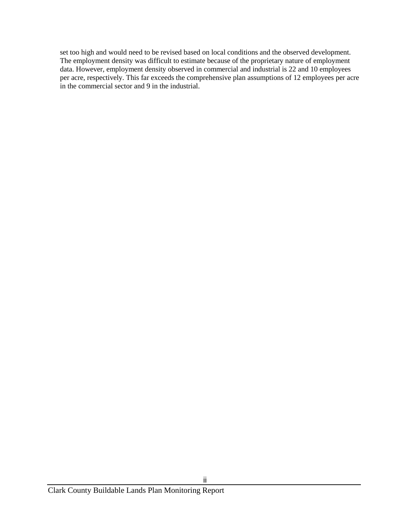set too high and would need to be revised based on local conditions and the observed development. The employment density was difficult to estimate because of the proprietary nature of employment data. However, employment density observed in commercial and industrial is 22 and 10 employees per acre, respectively. This far exceeds the comprehensive plan assumptions of 12 employees per acre in the commercial sector and 9 in the industrial.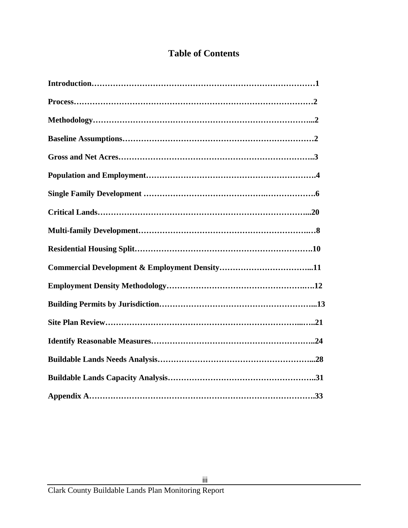# **Table of Contents**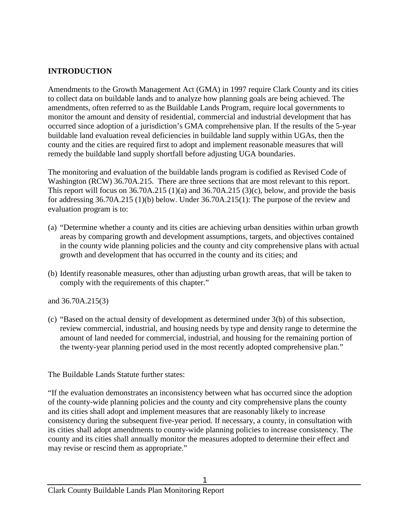### **INTRODUCTION**

Amendments to the Growth Management Act (GMA) in 1997 require Clark County and its cities to collect data on buildable lands and to analyze how planning goals are being achieved. The amendments, often referred to as the Buildable Lands Program, require local governments to monitor the amount and density of residential, commercial and industrial development that has occurred since adoption of a jurisdiction's GMA comprehensive plan. If the results of the 5-year buildable land evaluation reveal deficiencies in buildable land supply within UGAs, then the county and the cities are required first to adopt and implement reasonable measures that will remedy the buildable land supply shortfall before adjusting UGA boundaries.

The monitoring and evaluation of the buildable lands program is codified as Revised Code of Washington (RCW) 36.70A.215. There are three sections that are most relevant to this report. This report will focus on  $36.70A.215(1)(a)$  and  $36.70A.215(3)(c)$ , below, and provide the basis for addressing 36.70A.215 (1)(b) below. Under 36.70A.215(1): The purpose of the review and evaluation program is to:

- (a) "Determine whether a county and its cities are achieving urban densities within urban growth areas by comparing growth and development assumptions, targets, and objectives contained in the county wide planning policies and the county and city comprehensive plans with actual growth and development that has occurred in the county and its cities; and
- (b) Identify reasonable measures, other than adjusting urban growth areas, that will be taken to comply with the requirements of this chapter."

and 36.70A.215(3)

(c) "Based on the actual density of development as determined under 3(b) of this subsection, review commercial, industrial, and housing needs by type and density range to determine the amount of land needed for commercial, industrial, and housing for the remaining portion of the twenty-year planning period used in the most recently adopted comprehensive plan."

The Buildable Lands Statute further states:

"If the evaluation demonstrates an inconsistency between what has occurred since the adoption of the county-wide planning policies and the county and city comprehensive plans the county and its cities shall adopt and implement measures that are reasonably likely to increase consistency during the subsequent five-year period. If necessary, a county, in consultation with its cities shall adopt amendments to county-wide planning policies to increase consistency. The county and its cities shall annually monitor the measures adopted to determine their effect and may revise or rescind them as appropriate."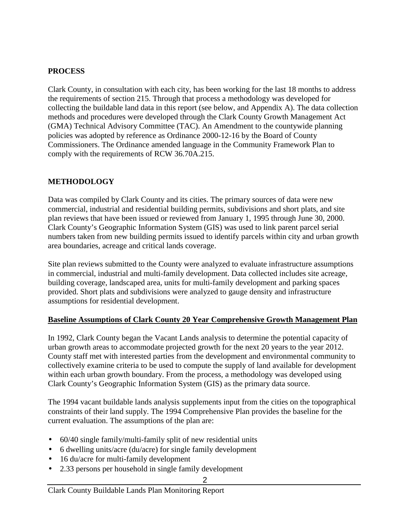### **PROCESS**

Clark County, in consultation with each city, has been working for the last 18 months to address the requirements of section 215. Through that process a methodology was developed for collecting the buildable land data in this report (see below, and Appendix A). The data collection methods and procedures were developed through the Clark County Growth Management Act (GMA) Technical Advisory Committee (TAC). An Amendment to the countywide planning policies was adopted by reference as Ordinance 2000-12-16 by the Board of County Commissioners. The Ordinance amended language in the Community Framework Plan to comply with the requirements of RCW 36.70A.215.

### **METHODOLOGY**

Data was compiled by Clark County and its cities. The primary sources of data were new commercial, industrial and residential building permits, subdivisions and short plats, and site plan reviews that have been issued or reviewed from January 1, 1995 through June 30, 2000. Clark County's Geographic Information System (GIS) was used to link parent parcel serial numbers taken from new building permits issued to identify parcels within city and urban growth area boundaries, acreage and critical lands coverage.

Site plan reviews submitted to the County were analyzed to evaluate infrastructure assumptions in commercial, industrial and multi-family development. Data collected includes site acreage, building coverage, landscaped area, units for multi-family development and parking spaces provided. Short plats and subdivisions were analyzed to gauge density and infrastructure assumptions for residential development.

### **Baseline Assumptions of Clark County 20 Year Comprehensive Growth Management Plan**

In 1992, Clark County began the Vacant Lands analysis to determine the potential capacity of urban growth areas to accommodate projected growth for the next 20 years to the year 2012. County staff met with interested parties from the development and environmental community to collectively examine criteria to be used to compute the supply of land available for development within each urban growth boundary. From the process, a methodology was developed using Clark County's Geographic Information System (GIS) as the primary data source.

The 1994 vacant buildable lands analysis supplements input from the cities on the topographical constraints of their land supply. The 1994 Comprehensive Plan provides the baseline for the current evaluation. The assumptions of the plan are:

- 60/40 single family/multi-family split of new residential units
- 6 dwelling units/acre (du/acre) for single family development
- 16 du/acre for multi-family development
- 2.33 persons per household in single family development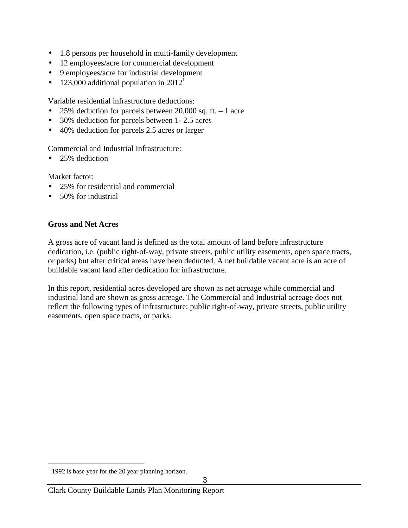- 1.8 persons per household in multi-family development
- 12 employees/acre for commercial development
- 9 employees/acre for industrial development
- 123,000 additional population in  $2012<sup>1</sup>$

Variable residential infrastructure deductions:

- 25% deduction for parcels between 20,000 sq. ft.  $-1$  acre
- 30% deduction for parcels between 1-2.5 acres
- 40% deduction for parcels 2.5 acres or larger

Commercial and Industrial Infrastructure:

• 25% deduction

Market factor:

- 25% for residential and commercial
- 50% for industrial

### **Gross and Net Acres**

A gross acre of vacant land is defined as the total amount of land before infrastructure dedication, i.e. (public right-of-way, private streets, public utility easements, open space tracts, or parks) but after critical areas have been deducted. A net buildable vacant acre is an acre of buildable vacant land after dedication for infrastructure.

In this report, residential acres developed are shown as net acreage while commercial and industrial land are shown as gross acreage. The Commercial and Industrial acreage does not reflect the following types of infrastructure: public right-of-way, private streets, public utility easements, open space tracts, or parks.

l  $1$  1992 is base year for the 20 year planning horizon.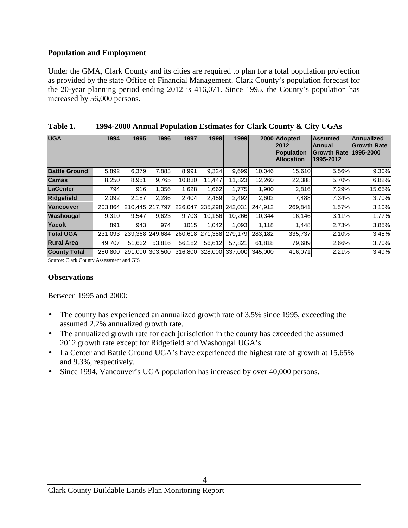### **Population and Employment**

Under the GMA, Clark County and its cities are required to plan for a total population projection as provided by the state Office of Financial Management. Clark County's population forecast for the 20-year planning period ending 2012 is 416,071. Since 1995, the County's population has increased by 56,000 persons.

| <b>UGA</b>           | 1994    | 1995   | 1996            | 1997    | 1998            | 1999    |         | 2000 Adopted<br>2012<br><b>Population</b><br><b>Allocation</b> | <b>Assumed</b><br>Annual<br><b>Growth Rate</b><br>1995-2012 | <b>Annualized</b><br><b>Growth Rate</b><br>1995-2000 |  |  |
|----------------------|---------|--------|-----------------|---------|-----------------|---------|---------|----------------------------------------------------------------|-------------------------------------------------------------|------------------------------------------------------|--|--|
| <b>Battle Ground</b> | 5,892   | 6,379  | 7,883           | 8,991   | 9,324           | 9.699   | 10.046  | 15,610                                                         | 5.56%                                                       | 9.30%                                                |  |  |
| <b>Camas</b>         | 8,250   | 8,951  | 9,765           | 10,830  | 11.447          | 11,823  | 12,260  | 22,388                                                         | 5.70%                                                       | 6.82%                                                |  |  |
| <b>LaCenter</b>      | 794     | 916    | 1,356           | 1,628   | 1,662           | 1.775   | 1,900   | 2,816                                                          | 7.29%                                                       | 15.65%                                               |  |  |
| <b>Ridgefield</b>    | 2.092   | 2.187  | 2.286           | 2.404   | 2.459           | 2.492   | 2.602   | 7,488                                                          | 7.34%                                                       | 3.70%                                                |  |  |
| <b>Vancouver</b>     | 203.864 |        | 210.445 217.797 | 226.047 | 235.298         | 242.031 | 244.912 | 269.841                                                        | 1.57%                                                       | 3.10%                                                |  |  |
| Washougal            | 9.310   | 9.547  | 9,623           | 9.703   | 10.156          | 10.266  | 10.344  | 16,146                                                         | 3.11%                                                       | 1.77%                                                |  |  |
| Yacolt               | 891     | 943    | 974             | 1015    | 1.042           | 1.093   | 1,118   | 1,448                                                          | 2.73%                                                       | 3.85%                                                |  |  |
| <b>Total UGA</b>     | 231.093 |        | 239.368 249.684 | 260.618 | 271.388         | 279.179 | 283.182 | 335,737                                                        | 2.10%                                                       | 3.45%                                                |  |  |
| <b>Rural Area</b>    | 49,707  | 51,632 | 53.816          | 56.182  | 56.612          | 57,821  | 61,818  | 79,689                                                         | 2.66%                                                       | 3.70%                                                |  |  |
| <b>County Total</b>  | 280,800 |        | 291,000 303,500 |         | 316,800 328,000 | 337,000 | 345,000 | 416,071                                                        | 2.21%                                                       | 3.49%                                                |  |  |

| Table 1. | 1994-2000 Annual Population Estimates for Clark County & City UGAs |  |
|----------|--------------------------------------------------------------------|--|
|----------|--------------------------------------------------------------------|--|

Source: Clark County Assessment and GIS

### **Observations**

Between 1995 and 2000:

- The county has experienced an annualized growth rate of 3.5% since 1995, exceeding the assumed 2.2% annualized growth rate.
- The annualized growth rate for each jurisdiction in the county has exceeded the assumed 2012 growth rate except for Ridgefield and Washougal UGA's.
- La Center and Battle Ground UGA's have experienced the highest rate of growth at 15.65% and 9.3%, respectively.
- Since 1994, Vancouver's UGA population has increased by over 40,000 persons.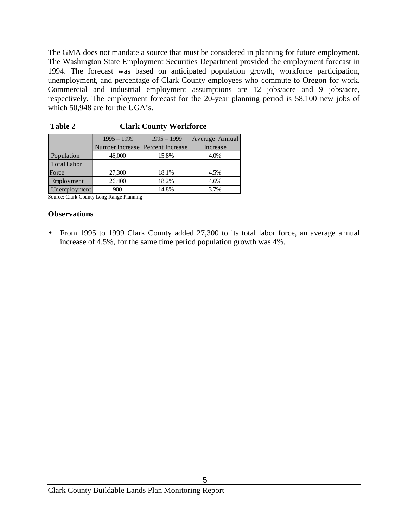The GMA does not mandate a source that must be considered in planning for future employment. The Washington State Employment Securities Department provided the employment forecast in 1994. The forecast was based on anticipated population growth, workforce participation, unemployment, and percentage of Clark County employees who commute to Oregon for work. Commercial and industrial employment assumptions are 12 jobs/acre and 9 jobs/acre, respectively. The employment forecast for the 20-year planning period is 58,100 new jobs of which 50,948 are for the UGA's.

|              | $1995 - 1999$                    | $1995 - 1999$ | Average Annual |
|--------------|----------------------------------|---------------|----------------|
|              | Number Increase Percent Increase |               | Increase       |
| Population   | 46,000                           | 15.8%         | 4.0%           |
| Total Labor  |                                  |               |                |
| Force        | 27,300                           | 18.1%         | 4.5%           |
| Employment   | 26,400                           | 18.2%         | 4.6%           |
| Unemployment | 900                              | 14.8%         | 3.7%           |

 **Table 2 Clark County Workforce**

Source: Clark County Long Range Planning

### **Observations**

• From 1995 to 1999 Clark County added 27,300 to its total labor force, an average annual increase of 4.5%, for the same time period population growth was 4%.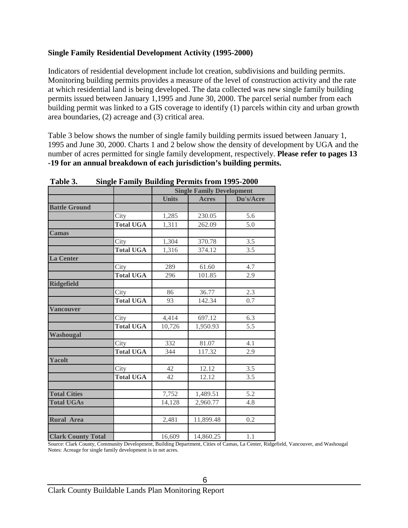### **Single Family Residential Development Activity (1995-2000)**

Indicators of residential development include lot creation, subdivisions and building permits. Monitoring building permits provides a measure of the level of construction activity and the rate at which residential land is being developed. The data collected was new single family building permits issued between January 1,1995 and June 30, 2000. The parcel serial number from each building permit was linked to a GIS coverage to identify (1) parcels within city and urban growth area boundaries, (2) acreage and (3) critical area.

Table 3 below shows the number of single family building permits issued between January 1, 1995 and June 30, 2000. Charts 1 and 2 below show the density of development by UGA and the number of acres permitted for single family development, respectively. **Please refer to pages 13 -19 for an annual breakdown of each jurisdiction's building permits.**

|                           |                  |              | <b>Single Family Development</b> |           |
|---------------------------|------------------|--------------|----------------------------------|-----------|
|                           |                  | <b>Units</b> | <b>Acres</b>                     | Du's/Acre |
| <b>Battle Ground</b>      |                  |              |                                  |           |
|                           | City             | 1,285        | 230.05                           | 5.6       |
|                           | <b>Total UGA</b> | 1,311        | 262.09                           | 5.0       |
| <b>Camas</b>              |                  |              |                                  |           |
|                           | City             | 1,304        | 370.78                           | 3.5       |
|                           | <b>Total UGA</b> | 1,316        | 374.12                           | 3.5       |
| <b>La Center</b>          |                  |              |                                  |           |
|                           | City             | 289          | 61.60                            | 4.7       |
|                           | <b>Total UGA</b> | 296          | 101.85                           | 2.9       |
| <b>Ridgefield</b>         |                  |              |                                  |           |
|                           | City             | 86           | 36.77                            | 2.3       |
|                           | <b>Total UGA</b> | 93           | 142.34                           | 0.7       |
| <b>Vancouver</b>          |                  |              |                                  |           |
|                           | City             | 4,414        | 697.12                           | 6.3       |
|                           | <b>Total UGA</b> | 10,726       | 1,950.93                         | 5.5       |
| <b>Washougal</b>          |                  |              |                                  |           |
|                           | City             | 332          | 81.07                            | 4.1       |
|                           | <b>Total UGA</b> | 344          | 117.32                           | 2.9       |
| <b>Yacolt</b>             |                  |              |                                  |           |
|                           | City             | 42           | 12.12                            | 3.5       |
|                           | <b>Total UGA</b> | 42           | 12.12                            | 3.5       |
|                           |                  |              |                                  |           |
| <b>Total Cities</b>       |                  | 7,752        | 1,489.51                         | 5.2       |
| <b>Total UGAs</b>         |                  | 14,128       | 2,960.77                         | 4.8       |
|                           |                  |              |                                  |           |
| <b>Rural Area</b>         |                  | 2,481        | 11,899.48                        | 0.2       |
|                           |                  |              |                                  |           |
| <b>Clark County Total</b> |                  | 16,609       | 14,860.25                        | 1.1       |

**Table 3. Single Family Building Permits from 1995-2000**

Source: Clark County, Community Development, Building Department, Cities of Camas, La Center, Ridgefield, Vancouver, and Washougal Notes: Acreage for single family development is in net acres.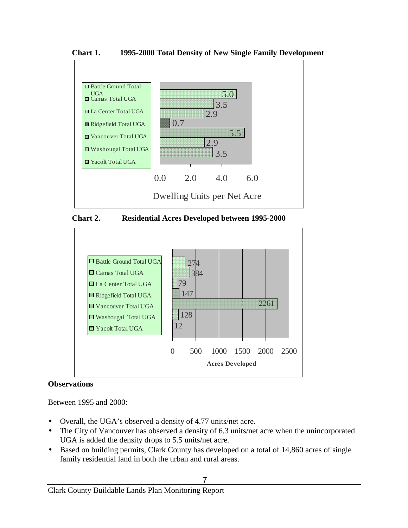**Chart 1. 1995-2000 Total Density of New Single Family Development**







### **Observations**

Between 1995 and 2000:

- Overall, the UGA's observed a density of 4.77 units/net acre.
- The City of Vancouver has observed a density of 6.3 units/net acre when the unincorporated UGA is added the density drops to 5.5 units/net acre.
- Based on building permits, Clark County has developed on a total of 14,860 acres of single family residential land in both the urban and rural areas.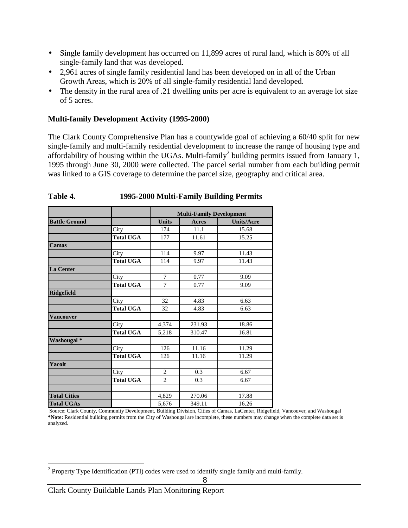- Single family development has occurred on 11,899 acres of rural land, which is 80% of all single-family land that was developed.
- 2,961 acres of single family residential land has been developed on in all of the Urban Growth Areas, which is 20% of all single-family residential land developed.
- The density in the rural area of .21 dwelling units per acre is equivalent to an average lot size of 5 acres.

### **Multi-family Development Activity (1995-2000)**

The Clark County Comprehensive Plan has a countywide goal of achieving a 60/40 split for new single-family and multi-family residential development to increase the range of housing type and affordability of housing within the UGAs. Multi-family<sup>2</sup> building permits issued from January 1, 1995 through June 30, 2000 were collected. The parcel serial number from each building permit was linked to a GIS coverage to determine the parcel size, geography and critical area.

|                        |                  | <b>Multi-Family Development</b> |        |                   |  |  |  |  |  |  |
|------------------------|------------------|---------------------------------|--------|-------------------|--|--|--|--|--|--|
| <b>Battle Ground</b>   |                  | <b>Units</b>                    | Acres  | <b>Units/Acre</b> |  |  |  |  |  |  |
|                        | City             | 174                             | 11.1   | 15.68             |  |  |  |  |  |  |
|                        | <b>Total UGA</b> | 177                             | 11.61  | 15.25             |  |  |  |  |  |  |
| Camas                  |                  |                                 |        |                   |  |  |  |  |  |  |
|                        | City             | 114                             | 9.97   | 11.43             |  |  |  |  |  |  |
|                        | <b>Total UGA</b> | 114                             | 9.97   | 11.43             |  |  |  |  |  |  |
| La Center              |                  |                                 |        |                   |  |  |  |  |  |  |
|                        | City             | $\tau$                          | 0.77   | 9.09              |  |  |  |  |  |  |
|                        | <b>Total UGA</b> | 7                               | 0.77   | 9.09              |  |  |  |  |  |  |
| <b>Ridgefield</b>      |                  |                                 |        |                   |  |  |  |  |  |  |
|                        | City             | 32                              | 4.83   | 6.63              |  |  |  |  |  |  |
|                        | <b>Total UGA</b> | 32                              | 4.83   | 6.63              |  |  |  |  |  |  |
| <b>Vancouver</b>       |                  |                                 |        |                   |  |  |  |  |  |  |
|                        | City             | 4,374                           | 231.93 | 18.86             |  |  |  |  |  |  |
|                        | <b>Total UGA</b> | 5,218                           | 310.47 | 16.81             |  |  |  |  |  |  |
| Washougal <sup>*</sup> |                  |                                 |        |                   |  |  |  |  |  |  |
|                        | City             | 126                             | 11.16  | 11.29             |  |  |  |  |  |  |
|                        | <b>Total UGA</b> | 126                             | 11.16  | 11.29             |  |  |  |  |  |  |
| Yacolt                 |                  |                                 |        |                   |  |  |  |  |  |  |
|                        | City             | $\mathbf{2}$                    | 0.3    | 6.67              |  |  |  |  |  |  |
|                        | <b>Total UGA</b> | $\overline{c}$                  | 0.3    | 6.67              |  |  |  |  |  |  |
|                        |                  |                                 |        |                   |  |  |  |  |  |  |
| <b>Total Cities</b>    |                  | 4,829                           | 270.06 | 17.88             |  |  |  |  |  |  |
| <b>Total UGAs</b>      |                  | 5,676                           | 349.11 | 16.26             |  |  |  |  |  |  |

### **Table 4. 1995-2000 Multi-Family Building Permits**

 Source: Clark County, Community Development, Building Division, Cities of Camas, LaCenter, Ridgefield, Vancouver, and Washougal **\*Note:** Residential building permits from the City of Washougal are incomplete, these numbers may change when the complete data set is analyzed.

l <sup>2</sup> Property Type Identification (PTI) codes were used to identify single family and multi-family.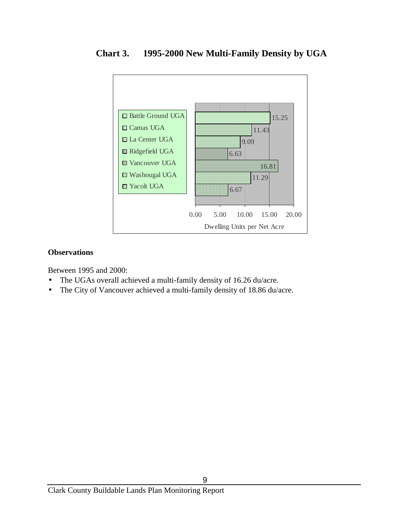

**Chart 3. 1995-2000 New Multi-Family Density by UGA**

### **Observations**

Between 1995 and 2000:

- The UGAs overall achieved a multi-family density of 16.26 du/acre.
- The City of Vancouver achieved a multi-family density of 18.86 du/acre.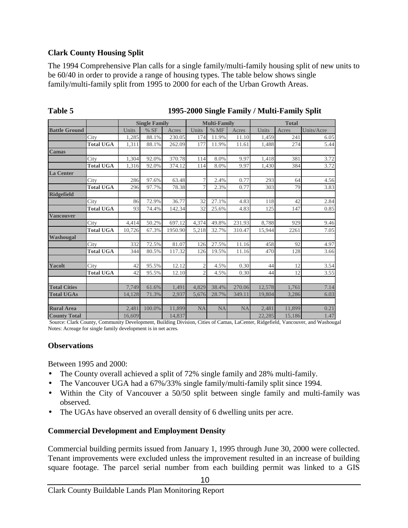### **Clark County Housing Split**

The 1994 Comprehensive Plan calls for a single family/multi-family housing split of new units to be 60/40 in order to provide a range of housing types. The table below shows single family/multi-family split from 1995 to 2000 for each of the Urban Growth Areas.

|                      |                  |        | <b>Single Family</b> |         |                | <b>Multi-Family</b> |           |        | <b>Total</b> |            |
|----------------------|------------------|--------|----------------------|---------|----------------|---------------------|-----------|--------|--------------|------------|
| <b>Battle Ground</b> |                  | Units  | % SF                 | Acres   | Units          | %MF                 | Acres     | Units  | Acres        | Units/Acre |
|                      | City             | 1,285  | 88.1%                | 230.05  | 174            | 11.9%               | 11.10     | 1,459  | 241          | 6.05       |
|                      | <b>Total UGA</b> | 1,311  | 88.1%                | 262.09  | 177            | 11.9%               | 11.61     | 1,488  | 274          | 5.44       |
| <b>Camas</b>         |                  |        |                      |         |                |                     |           |        |              |            |
|                      | City             | 1,304  | 92.0%                | 370.78  | 114            | 8.0%                | 9.97      | 1,418  | 381          | 3.72       |
|                      | <b>Total UGA</b> | 1.316  | 92.0%                | 374.12  | 114            | 8.0%                | 9.97      | 1.430  | 384          | 3.72       |
| <b>La Center</b>     |                  |        |                      |         |                |                     |           |        |              |            |
|                      | City             | 286    | 97.6%                | 63.48   | 7              | 2.4%                | 0.77      | 293    | 64           | 4.56       |
|                      | <b>Total UGA</b> | 296    | 97.7%                | 78.38   | 7              | 2.3%                | 0.77      | 303    | 79           | 3.83       |
| <b>Ridgefield</b>    |                  |        |                      |         |                |                     |           |        |              |            |
|                      | City             | 86     | 72.9%                | 36.77   | 32             | 27.1%               | 4.83      | 118    | 42           | 2.84       |
|                      | <b>Total UGA</b> | 93     | 74.4%                | 142.34  | 32             | 25.6%               | 4.83      | 125    | 147          | 0.85       |
| <b>Vancouver</b>     |                  |        |                      |         |                |                     |           |        |              |            |
|                      | City             | 4.414  | 50.2%                | 697.12  | 4,374          | 49.8%               | 231.93    | 8,788  | 929          | 9.46       |
|                      | <b>Total UGA</b> | 10,726 | 67.3%                | 1950.90 | 5,218          | 32.7%               | 310.47    | 15,944 | 2261         | 7.05       |
| Washougal            |                  |        |                      |         |                |                     |           |        |              |            |
|                      | City             | 332    | 72.5%                | 81.07   | 126            | 27.5%               | 11.16     | 458    | 92           | 4.97       |
|                      | <b>Total UGA</b> | 344    | 80.5%                | 117.32  | 126            | 19.5%               | 11.16     | 470    | 128          | 3.66       |
|                      |                  |        |                      |         |                |                     |           |        |              |            |
| Yacolt               | City             | 42     | 95.5%                | 12.12   | $\overline{2}$ | 4.5%                | 0.30      | 44     | 12           | 3.54       |
|                      | <b>Total UGA</b> | 42     | 95.5%                | 12.10   | $\overline{2}$ | 4.5%                | 0.30      | 44     | 12           | 3.55       |
|                      |                  |        |                      |         |                |                     |           |        |              |            |
| <b>Total Cities</b>  |                  | 7.749  | 61.6%                | 1.491   | 4.829          | 38.4%               | 270.06    | 12,578 | 1.761        | 7.14       |
| <b>Total UGAs</b>    |                  | 14.128 | 71.3%                | 2,937   | 5,676          | 28.7%               | 349.11    | 19,804 | 3,286        | 6.03       |
|                      |                  |        |                      |         |                |                     |           |        |              |            |
| <b>Rural Area</b>    |                  | 2.481  | 100.0%               | 11.899  | <b>NA</b>      | <b>NA</b>           | <b>NA</b> | 2.481  | 11.899       | 0.21       |
| <b>County Total</b>  |                  | 16,609 |                      | 14,837  |                |                     |           | 22,285 | 15,186       | 1.47       |

### **Table 5 1995-2000 Single Family / Multi-Family Split**

 Source: Clark County, Community Development, Building Division, Cities of Camas, LaCenter, Ridgefield, Vancouver, and Washougal Notes: Acreage for single family development is in net acres.

### **Observations**

Between 1995 and 2000:

- The County overall achieved a split of 72% single family and 28% multi-family.
- The Vancouver UGA had a 67%/33% single family/multi-family split since 1994.
- Within the City of Vancouver a 50/50 split between single family and multi-family was observed.
- The UGAs have observed an overall density of 6 dwelling units per acre.

### **Commercial Development and Employment Density**

Commercial building permits issued from January 1, 1995 through June 30, 2000 were collected. Tenant improvements were excluded unless the improvement resulted in an increase of building square footage. The parcel serial number from each building permit was linked to a GIS

10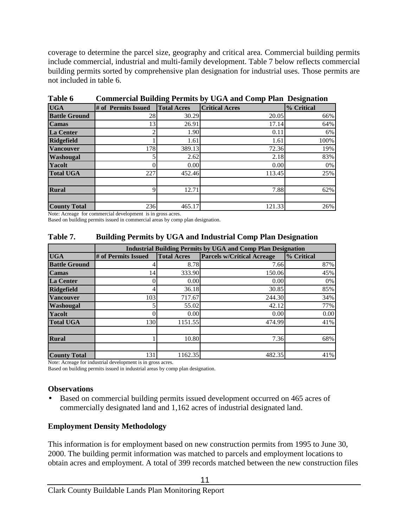coverage to determine the parcel size, geography and critical area. Commercial building permits include commercial, industrial and multi-family development. Table 7 below reflects commercial building permits sorted by comprehensive plan designation for industrial uses. Those permits are not included in table 6.

|                      |                     | o                  |                       |            |
|----------------------|---------------------|--------------------|-----------------------|------------|
| <b>UGA</b>           | # of Permits Issued | <b>Total Acres</b> | <b>Critical Acres</b> | % Critical |
| <b>Battle Ground</b> | 28                  | 30.29              | 20.05                 | 66%        |
| <b>Camas</b>         | 13                  | 26.91              | 17.14                 | 64%        |
| <b>La Center</b>     |                     | 1.90               | 0.11                  | 6%         |
| <b>Ridgefield</b>    |                     | 1.61               | 1.61                  | 100%       |
| <b>Vancouver</b>     | 178                 | 389.13             | 72.36                 | 19%        |
| Washougal            |                     | 2.62               | 2.18                  | 83%        |
| <b>Yacolt</b>        |                     | 0.00               | 0.00                  | 0%         |
| <b>Total UGA</b>     | 227                 | 452.46             | 113.45                | 25%        |
|                      |                     |                    |                       |            |
| <b>Rural</b>         |                     | 12.71              | 7.88                  | 62%        |
|                      |                     |                    |                       |            |
| <b>County Total</b>  | 236                 | 465.17             | 121.33                | 26%        |

**Table 6 Commercial Building Permits by UGA and Comp Plan Designation**

Note: Acreage for commercial development is in gross acres.

Based on building permits issued in commercial areas by comp plan designation.

| Table 7. | <b>Building Permits by UGA and Industrial Comp Plan Designation</b> |  |  |
|----------|---------------------------------------------------------------------|--|--|
|          |                                                                     |  |  |

|                      |                     |                    | <b>Industrial Building Permits by UGA and Comp Plan Designation</b> |            |
|----------------------|---------------------|--------------------|---------------------------------------------------------------------|------------|
| <b>UGA</b>           | # of Permits Issued | <b>Total Acres</b> | <b>Parcels w/Critical Acreage</b>                                   | % Critical |
| <b>Battle Ground</b> |                     | 8.78               | 7.66                                                                | 87%        |
| <b>Camas</b>         | 14                  | 333.90             | 150.06                                                              | 45%        |
| <b>La Center</b>     |                     | 0.00               | 0.00                                                                | 0%         |
| <b>Ridgefield</b>    |                     | 36.18              | 30.85                                                               | 85%        |
| <b>Vancouver</b>     | 103                 | 717.67             | 244.30                                                              | 34%        |
| Washougal            |                     | 55.02              | 42.12                                                               | 77%        |
| Yacolt               |                     | 0.00               | 0.00                                                                | 0.00       |
| <b>Total UGA</b>     | 130                 | 1151.55            | 474.99                                                              | 41%        |
|                      |                     |                    |                                                                     |            |
| <b>Rural</b>         |                     | 10.80              | 7.36                                                                | 68%        |
|                      |                     |                    |                                                                     |            |
| <b>County Total</b>  | 131                 | 1162.35            | 482.35                                                              | 41%        |

Note: Acreage for industrial development is in gross acres.

Based on building permits issued in industrial areas by comp plan designation.

### **Observations**

Based on commercial building permits issued development occurred on 465 acres of commercially designated land and 1,162 acres of industrial designated land.

### **Employment Density Methodology**

This information is for employment based on new construction permits from 1995 to June 30, 2000. The building permit information was matched to parcels and employment locations to obtain acres and employment. A total of 399 records matched between the new construction files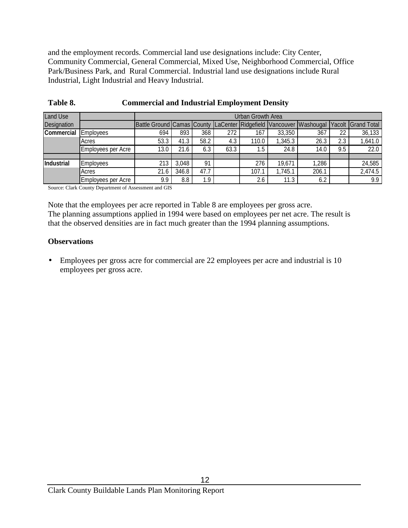and the employment records. Commercial land use designations include: City Center, Community Commercial, General Commercial, Mixed Use, Neighborhood Commercial, Office Park/Business Park, and Rural Commercial. Industrial land use designations include Rural Industrial, Light Industrial and Heavy Industrial.

| <b>Land Use</b>   |                    |                                                                    |       |      |      | Urban Growth Area |         |       |     |                           |
|-------------------|--------------------|--------------------------------------------------------------------|-------|------|------|-------------------|---------|-------|-----|---------------------------|
| Designation       |                    | Battle Ground Camas County LaCenter Ridgefield Vancouver Washougal |       |      |      |                   |         |       |     | <b>Yacolt Grand Total</b> |
| <b>Commercial</b> | Employees          | 694                                                                | 893   | 368  | 272  | 167               | 33,350  | 367   | 22  | 36,133                    |
|                   | Acres              | 53.3                                                               | 41.3  | 58.2 | 4.3  | 110.0             | 1,345.3 | 26.3  | 2.3 | 1,641.0                   |
|                   | Employees per Acre | 13.0                                                               | 21.6  | 6.3  | 63.3 | 1.5               | 24.8    | 14.0  | 9.5 | 22.0                      |
|                   |                    |                                                                    |       |      |      |                   |         |       |     |                           |
| <b>Industrial</b> | <b>Employees</b>   | 213                                                                | 3,048 | 91   |      | 276               | 19,671  | 1,286 |     | 24,585                    |
|                   | Acres              | 21.6                                                               | 346.8 | 47.7 |      | 107.1             | 1,745.1 | 206.1 |     | 2,474.5                   |
|                   | Employees per Acre | 9.9                                                                | 8.8   | 1.9  |      | 2.6               | 11.3    | 6.2   |     | 9.9                       |

### **Table 8. Commercial and Industrial Employment Density**

Source: Clark County Department of Assessment and GIS

Note that the employees per acre reported in Table 8 are employees per gross acre. The planning assumptions applied in 1994 were based on employees per net acre. The result is that the observed densities are in fact much greater than the 1994 planning assumptions.

### **Observations**

• Employees per gross acre for commercial are 22 employees per acre and industrial is 10 employees per gross acre.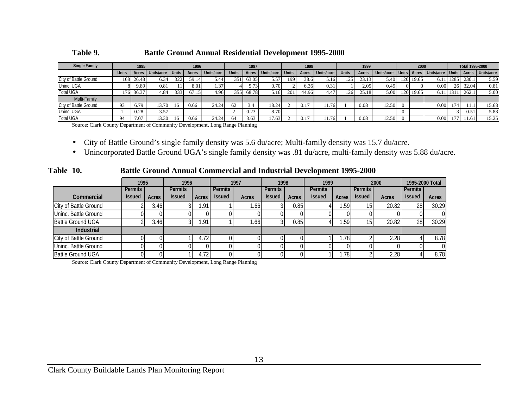**Table 9. Battle Ground Annual Residential Development 1995-2000**

| <b>Single Family</b>  | 1995         |       | 1996               |     | 1997  |            | 1998         |       | 1999             |     | 2000  |            |              | <b>Total 1995-2000</b> |            |  |             |                  |      |       |                  |
|-----------------------|--------------|-------|--------------------|-----|-------|------------|--------------|-------|------------------|-----|-------|------------|--------------|------------------------|------------|--|-------------|------------------|------|-------|------------------|
|                       | <b>Units</b> | Acres | Units/acre   Units |     | Acres | Units/acre | <b>Units</b> | Acres | Units/acre Units |     | Acres | Units/acre | <b>Units</b> | Acres                  | Units/acre |  | Units Acres | Units/acre Units |      |       | Acres Units/acre |
| City of Battle Ground | 1681         | 26.48 | 6.34               | 322 | 59.14 | 5.44       | 351          | 63.05 | 5.57             | 199 | 38.6  | 5.16       | 125          | 23.13                  | 5.40       |  | 120 19.65   | 6.11             | 1285 | 230.1 | 5.59             |
| Uninc. UGA            |              | 9.89  | 0.81               |     | 8.01  | 1.37       |              | 5.73  | 0.70             |     | 6.36  | 0.31       |              | 2.05                   | 0.49       |  |             | 0.00             | 26   | 32.04 | 0.81             |
| <b>Total UGA</b>      | 176          | 36.37 | 4.84               | 333 | 67.15 | 4.96       | 355          | 68.78 | 5.16             | 201 | 44.96 | 4.47       | 126          | 25.18                  | 5.00       |  | 120 19.65   | 6.11             | 1311 | 262.1 | 5.00             |
| Multi-Family          |              |       |                    |     |       |            |              |       |                  |     |       |            |              |                        |            |  |             |                  |      |       |                  |
| City of Battle Ground | 93           | 6.79  | 13.70              | 16  | 0.66  | 24.24      | 62           | 3.4   | 18.24            |     |       | 1.76       |              | 0.08                   | 12.50      |  |             | 0.00             | 174  |       | 15.68            |
| Uninc. UGA            |              | 0.28  | 3.57               |     |       |            |              | 0.23  | 8.70             |     |       |            |              |                        |            |  |             |                  |      | 0.5   | 5.88             |
| <b>Total UGA</b>      | 94           | 7.07  | 13.30              | 16  | 0.66  | 24.24      | 64           | 3.63  | 17.63            |     | 0.17  | 1.76       |              | 0.08                   | 12.50      |  |             | 0.00             | 177  | 1.61  | 15.25            |

Source: Clark County Department of Community Development, Long Range Planning

- $\bullet$ City of Battle Ground's single family density was 5.6 du/acre; Multi-family density was 15.7 du/acre.
- $\bullet$ Unincorporated Battle Ground UGA's single family density was .81 du/acre, multi-family density was 5.88 du/acre.

**Table 10. Battle Ground Annual Commercial and Industrial Development 1995-2000**

|                          | 1995           |       | 1996           |       |                | 1997  | 1998           |       | 1999           |       |               | 2000  | 1995-2000 Total |       |
|--------------------------|----------------|-------|----------------|-------|----------------|-------|----------------|-------|----------------|-------|---------------|-------|-----------------|-------|
|                          | <b>Permits</b> |       | <b>Permits</b> |       | <b>Permits</b> |       | <b>Permits</b> |       | <b>Permits</b> |       | Permits       |       | <b>Permits</b>  |       |
| <b>Commercial</b>        | <b>Issued</b>  | Acres | <b>Issued</b>  | Acres | <b>Issued</b>  | Acres | <b>Issued</b>  | Acres | <b>Issued</b>  | Acres | <b>Issued</b> | Acres | <b>Issued</b>   | Acres |
| City of Battle Ground    |                | 3.46  |                | l.91  |                | 1.66  |                | 0.85  |                | .59'  | 15 I          | 20.82 | 28              | 30.29 |
| Uninc. Battle Ground     |                |       |                |       |                |       |                |       |                |       |               |       |                 |       |
| <b>Battle Ground UGA</b> |                | 3.46  |                | .91   |                | ا66.، |                | 0.85  |                | . 591 | 51            | 20.82 | <b>28</b>       | 30.29 |
| <b>Industrial</b>        |                |       |                |       |                |       |                |       |                |       |               |       |                 |       |
| City of Battle Ground    |                |       |                | 4.72  |                |       |                |       |                | .78   |               | 2.28  |                 | 8.78  |
| Uninc. Battle Ground     |                |       |                |       |                |       |                |       |                |       |               |       |                 |       |
| <b>Battle Ground UGA</b> |                |       |                | 4.72  |                |       |                |       |                | .78   |               | 2.28  |                 | 8.78  |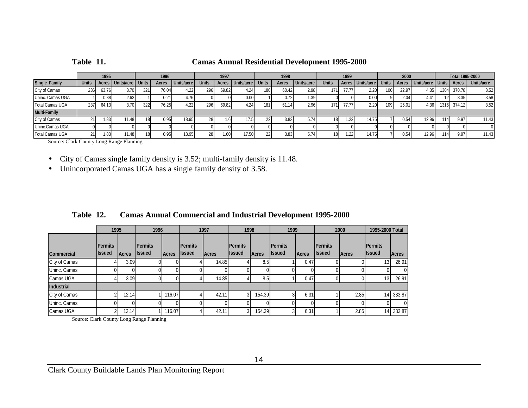| <b>Camas Annual Residential Development 1995-2000</b><br>Table 11. |
|--------------------------------------------------------------------|
|--------------------------------------------------------------------|

|                        |              | 1995  |                        |     | 1996  |            |              | 1997         |            |                  | 1998  |            |              | 1999  |                    |              | 2000  |                        |                  | Total 1995-2000 |            |
|------------------------|--------------|-------|------------------------|-----|-------|------------|--------------|--------------|------------|------------------|-------|------------|--------------|-------|--------------------|--------------|-------|------------------------|------------------|-----------------|------------|
| Single Family          | <b>Units</b> |       | Acres Units/acre Units |     | Acres | Units/acre | <b>Units</b> | <b>Acres</b> | Units/acre | <b>Units</b>     | Acres | Units/acre | <b>Units</b> |       | Acres   Units/acre | <b>Units</b> | Acres | Units/acre Units Acres |                  |                 | Units/acre |
| City of Camas          | 236          | 63.76 | 3.70                   | 321 | 76.04 | 4.22       | 296          | 69.82        | 4.24       | 180 <sup>1</sup> | 60.42 | 2.98       |              | 77.77 | 2.20               | 100          | 22.97 | 4.35                   | 1304             | 370.78          | 3.52       |
| Uninc. Camas UGA       |              | 0.38  | 2.63                   |     | 0.21  | 4.16       |              |              | 0.00       |                  | 0.72  | 1.39       |              |       | 0.00               |              | 2.04  | 4.41                   |                  | 3.35            | 3.58       |
| <b>Total Camas UGA</b> | 237          | 64.13 | 3.70                   | 322 | 76.25 | 4.22       | 296          | 69.82        | 4.24       | 181              |       | 2.96       |              | 77.77 | 2.20               | 109          | 25.01 | 4.36                   | 1316             | 374.12          | 3.52       |
| <b>Multi-Family</b>    |              |       |                        |     |       |            |              |              |            |                  |       |            |              |       |                    |              |       |                        |                  |                 |            |
| City of Camas          |              | .83   | 11.48                  |     | 0.95  | 18.95      | 28           |              |            |                  | 3.83  | 5.74       |              | .22   | 14.75              |              | 0.54  | 12.96                  |                  | 9.97            | 11.43      |
| Uninc.Camas UGA        |              |       |                        |     |       |            |              |              |            |                  |       |            |              |       |                    |              |       |                        |                  |                 |            |
| <b>Total Camas UGA</b> |              | 1.83  | 11.48                  |     | 0.95  | 18.95      | 28           | 1.60         | 17.50      |                  | 3.83  |            |              | .22   | 14.7               |              | 0.54  | 12.96                  | 114 <sub>1</sub> | 9.97            | 11.43      |

Source: Clark County Long Range Planning

 $\bullet$ City of Camas single family density is 3.52; multi-family density is 11.48.

• Unincorporated Camas UGA has a single family density of 3.58.

|                   | 1995                            |       | 1996                            |               |                                 | 1997         | 1998                             |               | 1999                              |              |                          | 2000         | 1995-2000 Total                 |           |
|-------------------|---------------------------------|-------|---------------------------------|---------------|---------------------------------|--------------|----------------------------------|---------------|-----------------------------------|--------------|--------------------------|--------------|---------------------------------|-----------|
| Commercial        | <b>Permits</b><br><b>Issued</b> | Acres | <b>Permits</b><br><b>Issued</b> | <b>IAcres</b> | <b>Permits</b><br><b>Issued</b> | <b>Acres</b> | <b>IPermits</b><br><b>Issued</b> | <b>IAcres</b> | <b>I</b> Permits<br><b>Issued</b> | <b>Acres</b> | Permits<br><b>Issued</b> | <b>Acres</b> | <b>Permits</b><br><b>Issued</b> | Acres     |
| City of Camas     |                                 | 3.09  |                                 |               |                                 | 14.85        |                                  | 8.5           |                                   | 0.47         |                          |              | 13 <sup>1</sup>                 | 26.91     |
| Uninc. Camas      |                                 |       |                                 |               |                                 |              |                                  |               |                                   |              |                          |              |                                 | $\Omega$  |
| Camas UGA         |                                 | 3.09  |                                 |               |                                 | 14.85        |                                  | 8.5           |                                   | 0.47         |                          |              | 13                              | 26.91     |
| <b>Industrial</b> |                                 |       |                                 |               |                                 |              |                                  |               |                                   |              |                          |              |                                 |           |
| City of Camas     |                                 | 12.14 |                                 | 116.07        |                                 | 42.11        |                                  | 154.39        |                                   | 6.31         |                          | 2.85         |                                 | 14 333.87 |
| Uninc. Camas      |                                 |       |                                 |               |                                 |              |                                  |               |                                   |              |                          |              |                                 | $\Omega$  |
| Camas UGA         |                                 | 12.14 |                                 | 116.07        |                                 | 42.11        | 3                                | 154.39        |                                   | 6.31         |                          | 2.85         | 14                              | 333.87    |

**Table 12. Camas Annual Commercial and Industrial Development 1995-2000**

Source: Clark County Long Range Planning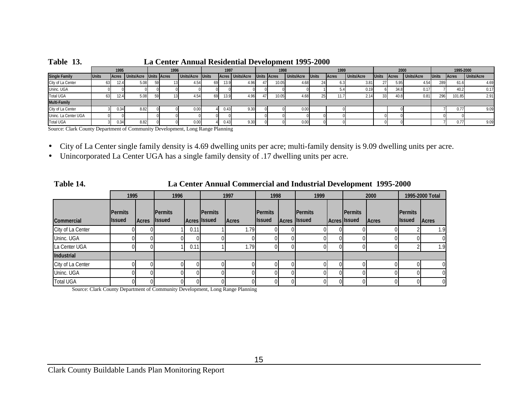| TUDIO IDI            |              |      |                              |    | <u>La center francia residenta d'evelopment 1990 sovo</u> |                  |    |                |                  |                 |                    |            |              |              |                   |              |              |            |              |              |                   |
|----------------------|--------------|------|------------------------------|----|-----------------------------------------------------------|------------------|----|----------------|------------------|-----------------|--------------------|------------|--------------|--------------|-------------------|--------------|--------------|------------|--------------|--------------|-------------------|
|                      |              | 1995 |                              |    | 1996                                                      |                  |    | 1997           |                  |                 | 1998               |            |              | 1999         |                   |              | 2000         |            |              | 1995-2000    |                   |
| <b>Single Family</b> | <b>Units</b> |      | Acres Units/Acre Units Acres |    |                                                           | Units/Acre Units |    |                | Acres Units/Acre |                 | <b>Units Acres</b> | Units/Acre | <b>Units</b> | <b>Acres</b> | <b>Units/Acre</b> | <b>Units</b> | <b>Acres</b> | Units/Acre | <b>Units</b> | <b>Acres</b> | <b>Units/Acre</b> |
| City of La Center    | 63.          | 12.4 | 5.08                         |    |                                                           | 4.54             | 69 | 13.9           | 4.96             | 47 <sup>'</sup> | 10.05 <sub>1</sub> | 4.68       |              |              | 3.81              |              | 5.95         | 4.54       | 289          | 61.6         | 4.69              |
| Uninc. UGA           |              |      |                              |    |                                                           |                  |    |                |                  |                 |                    |            |              |              | 0.19              |              | 34.8         |            |              |              | 0.17              |
| Total UGA            | 63           | 12.4 | 5.08                         | 59 |                                                           | 4.54             | 69 | $13.9^{\circ}$ | 4.96             |                 | 10.05              | 4.68       | 25           |              | 2.14              |              | 40.8         | 0.81       | 296          | 101.85       | 2.91              |
| <b>Multi-Family</b>  |              |      |                              |    |                                                           |                  |    |                |                  |                 |                    |            |              |              |                   |              |              |            |              |              |                   |
| City of La Center    |              | 0.34 | 8.82                         |    |                                                           | 0.00             |    | 0.43           | 9.30             |                 |                    | 0.00       |              |              |                   |              |              |            |              | 0.77         | 9.09              |
| Uninc. La Center UGA |              |      |                              |    |                                                           |                  |    |                |                  |                 |                    |            |              |              |                   |              |              |            |              |              |                   |
| <b>Total UGA</b>     |              | 0.34 | 8.82                         |    |                                                           | 0.00             |    | 0.43           | 9.30             |                 |                    | 0.00       |              |              |                   |              |              |            |              |              | 9.09              |

**Table 13. La Center Annual Residential Development 1995-2000**

Source: Clark County Department of Community Development, Long Range Planning

• City of La Center single family density is 4.69 dwelling units per acre; multi-family density is 9.09 dwelling units per acre.

• Unincorporated La Center UGA has a single family density of .17 dwelling units per acre.

 **Table 14. La Center Annual Commercial and Industrial Development 1995-2000**

|                   | 1995                            |               | 1996                             |      |                                | 1997         | 1998                            | 1999                           |          |                                         | 2000  |                                 | 1995-2000 Total |
|-------------------|---------------------------------|---------------|----------------------------------|------|--------------------------------|--------------|---------------------------------|--------------------------------|----------|-----------------------------------------|-------|---------------------------------|-----------------|
| <b>Commercial</b> | <b>Permits</b><br><b>Issued</b> | <b>IAcres</b> | <b>IPermits</b><br><b>Issued</b> |      | Permits<br><b>Acres</b> Issued | <b>Acres</b> | <b>Permits</b><br><b>Issued</b> | Permits<br><b>Acres</b> Issued |          | <b>I</b> Permits<br><b>Acres Issued</b> | Acres | <b>Permits</b><br><b>Issued</b> | Acres           |
| City of La Center |                                 |               |                                  | 0.11 |                                | 1.79         |                                 |                                |          |                                         |       |                                 | 1.9             |
| Uninc. UGA        |                                 |               |                                  |      |                                |              |                                 |                                |          |                                         |       |                                 | $\Omega$        |
| La Center UGA     | п                               | 01            |                                  | 0.11 |                                | 1.79         | 01                              |                                | 01       |                                         |       |                                 | 1.9             |
| Industrial        |                                 |               |                                  |      |                                |              |                                 |                                |          |                                         |       |                                 |                 |
| City of La Center |                                 |               | ΩI                               |      |                                |              |                                 |                                | 01       |                                         |       |                                 |                 |
| Uninc. UGA        |                                 |               | ΩI                               |      |                                |              |                                 |                                | $\Omega$ |                                         |       |                                 | $\Omega$        |
| <b>Total UGA</b>  |                                 |               |                                  |      |                                |              |                                 |                                |          |                                         |       |                                 | $\overline{0}$  |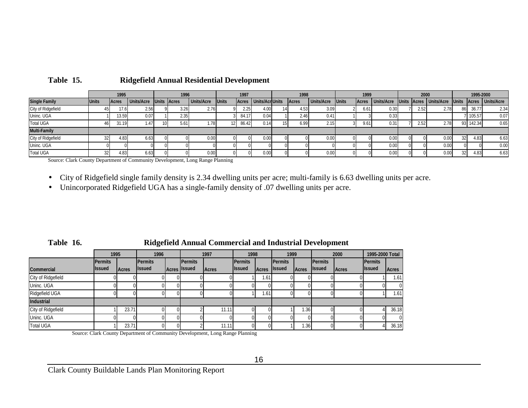|                      |                 | 1995          |                   | 1996               |                   |              | 1997  |                   | 1998  |                   |              | 1999         |                   | 2000 |                          |              | 1995-2000 |                  |
|----------------------|-----------------|---------------|-------------------|--------------------|-------------------|--------------|-------|-------------------|-------|-------------------|--------------|--------------|-------------------|------|--------------------------|--------------|-----------|------------------|
| <b>Single Family</b> | <b>Units</b>    | <b>IAcres</b> | <b>Units/Acre</b> | <b>Units Acres</b> | <b>Units/Acre</b> | <b>Units</b> | Acres | Units/AcrUnits    | Acres | <b>Units/Acre</b> | <b>Units</b> | <b>Acres</b> | <b>Units/Acre</b> |      | Units Acres   Units/Acre | <b>Units</b> |           | Acres Units/Acre |
| City of Ridgefield   |                 | 17.6          | 2.56              | 3.26               | 2.76              |              | 2.25  | 4.00              | 4.53  | 3.09              |              | 6.61         | 0.30              | 2.52 | 2.78                     |              | 36.77     | 2.34             |
| Uninc. UGA           |                 | 13.59         | 0.07              | 2.35               |                   |              | 84.17 | 0.04              | 2.46  | 0.41              |              |              | 0.33              |      |                          |              | 105.57    | 0.07             |
| <b>Total UGA</b>     |                 | 31.19         | 1.47              | 5.61               | 1.78              |              | 86.42 | 0.14              | 6.99  |                   |              | 9.61         | 0.31              | 2.52 | 2.78                     |              | 93 142.34 | 0.65             |
| <b>Multi-Family</b>  |                 |               |                   |                    |                   |              |       |                   |       |                   |              |              |                   |      |                          |              |           |                  |
| City of Ridgefield   |                 | 4.83          | 6.63              |                    | 0.00              |              |       | $0.00 \mathsf{I}$ |       | 0.00              |              |              | 0.00              |      | 0.00                     |              | 4.83      | 6.63             |
| Uninc. UGA           |                 |               |                   |                    |                   |              |       |                   |       |                   |              |              | 0.00              |      | 0.00                     |              |           | 0.00             |
| <b>Total UGA</b>     | 32 <sup>1</sup> | 4.83          | 6.63              |                    | 0.00              |              |       | 0.00              |       | 0.00              |              |              | 0.00              |      | 0.00                     |              | 4.83      | 6.63             |

### **Table 15. Ridgefield Annual Residential Development**

Source: Clark County Department of Community Development, Long Range Planning

- $\bullet$ City of Ridgefield single family density is 2.34 dwelling units per acre; multi-family is 6.63 dwelling units per acre.
- $\bullet$ Unincorporated Ridgefield UGA has a single-family density of .07 dwelling units per acre.

### **Table 16. Ridgefield Annual Commercial and Industrial Development**

|                    | 1995           |              | 1996           |                     | 1997         | 1998           |       | 1999           |              |                  | 2000         | 1995-2000 Total |                |
|--------------------|----------------|--------------|----------------|---------------------|--------------|----------------|-------|----------------|--------------|------------------|--------------|-----------------|----------------|
|                    | <b>Permits</b> |              | <b>Permits</b> | <b>Permits</b>      |              | <b>Permits</b> |       | <b>Permits</b> |              | <b>I</b> Permits |              | <b>Permits</b>  |                |
| <b>Commercial</b>  | <b>Issued</b>  | <b>Acres</b> | <b>Issued</b>  | <b>Acres</b> Issued | <b>Acres</b> | <b>Issued</b>  | Acres | <b>Issued</b>  | <b>Acres</b> | <b>Issued</b>    | <b>Acres</b> | <b>Issued</b>   | <b>Acres</b>   |
| City of Ridgefield |                |              |                |                     |              |                | 1.61  |                |              |                  |              |                 | 1.61           |
| Uninc. UGA         |                |              |                |                     |              |                |       |                |              |                  |              |                 | $\overline{0}$ |
| Ridgefield UGA     |                |              |                |                     |              |                | 1.611 |                |              |                  |              |                 | 1.61           |
| Industrial         |                |              |                |                     |              |                |       |                |              |                  |              |                 |                |
| City of Ridgefield |                | 23.71        |                |                     | 11.11        |                |       |                | 1.36         |                  |              |                 | 36.18          |
| Uninc. UGA         |                |              |                |                     |              |                |       |                |              |                  |              |                 | $\overline{0}$ |
| <b>Total UGA</b>   |                | 23.71        |                |                     | 11.11        |                |       |                | 1.36         |                  |              |                 | 36.18          |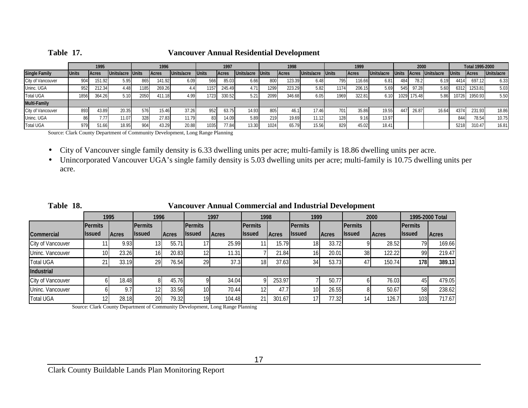| Table |
|-------|
|-------|

### **Table 17. Vancouver Annual Residential Development**

|                      |              | 1995          |                  |       | 1996   |            |              | 1997         |            |               | 1998         |            |              | 1999   |            |              | 2000        |                  |              | Total 1995-2000 |            |
|----------------------|--------------|---------------|------------------|-------|--------|------------|--------------|--------------|------------|---------------|--------------|------------|--------------|--------|------------|--------------|-------------|------------------|--------------|-----------------|------------|
| <b>Single Family</b> | <b>Units</b> | <b>IAcres</b> | Units/acre Units |       | Acres  | Units/acre | <b>Units</b> | <b>Acres</b> | Units/acre | <b>IUnits</b> | <b>Acres</b> | Units/acre | <b>Units</b> | Acres  | Units/acre | <b>Units</b> |             | Acres Units/acre | <b>Units</b> | <b>Acres</b>    | Units/acre |
| City of Vancouver    | 904          | 151.92        | 5.95             | 865   | 141.92 | 6.09       | 566          | 85.03        | 6.66       | 800           | 123.39       | 6.48       | 795          | 116.66 | 6.81       | 484          | 78.2        | 6.19             | 4414         | 697.12          | 6.33       |
| Uninc. UGA           | 952          | 212.34        | 4.48             | 1185. | 269.26 |            | 1571         | 245.49       | 4.71       | 1299          | 223.29       | 5.82       |              | 206.15 | 5.69       | 545          | 97.28       | 5.60             | 6312         | 1253.81         | 5.03       |
| <b>Total UGA</b>     | 1856         | 364.26        | 5.10             | 2050  | 111.18 | 4.99       | 17231        | 330.52       | 5.21       | 2099          | 346.68       | 6.05       | 1969         | 322.81 | 6.10       |              | 1029 175.48 | 5.86             | 10726        | 1950.93         | 5.50       |
| <b>Multi-Family</b>  |              |               |                  |       |        |            |              |              |            |               |              |            |              |        |            |              |             |                  |              |                 |            |
| City of Vancouver    | 8931         | 43.89         | 20.35            | 576   | 15.46  | 37.26      | 952          | 63.75        | 14.93      | 805           | 46.1         | 17.46      | 7011         | 35.86  | 19.55      | 44           | 26.87       | 16.64            | 4374         | 231.93          | 18.86      |
| Uninc. UGA           |              | 7.77          | 11.07            | 328   | 27.83  | 11.79      |              | 14.09        | 5.89       | 219           | 19.69        | 11.12      |              | 9.16   | 13.97      |              |             |                  | 844          | 78.54           | 10.75      |
| <b>Total UGA</b>     | 979          | 51.66         | 18.95            | 904.  | 43.29  | 20.88      | 1035         | 77.84        | 13.30      | 1024          | 65.79        | 15.56      | 829          | 45.02  | 18.41      |              |             |                  | 5218         | 310.47          | 16.81      |

Source: Clark County Department of Community Development, Long Range Planning

 $\bullet$ City of Vancouver single family density is 6.33 dwelling units per acre; multi-family is 18.86 dwelling units per acre.

 $\bullet$  Unincorporated Vancouver UGA's single family density is 5.03 dwelling units per acre; multi-family is 10.75 dwelling units per acre.

| Table 18.         |                |               |                 |              |                 | Vancouver Annual Commercial and Industrial Development |                |               |                 |              |                  |              |                  |                 |
|-------------------|----------------|---------------|-----------------|--------------|-----------------|--------------------------------------------------------|----------------|---------------|-----------------|--------------|------------------|--------------|------------------|-----------------|
|                   |                | 1995          | 1996            |              |                 | 1997                                                   | 1998           |               | 1999            |              |                  | 2000         |                  | 1995-2000 Total |
|                   | <b>Permits</b> |               | <b>Permits</b>  |              | <b>IPermits</b> |                                                        | <b>Permits</b> |               | <b>Permits</b>  |              | <b>I</b> Permits |              | <b>I</b> Permits |                 |
| Commercial        | <b>Issued</b>  | <b>IAcres</b> | <b>Issued</b>   | <b>Acres</b> | <b>Ilssued</b>  | <b>Acres</b>                                           | llssued        | <b>IAcres</b> | <b>I</b> lssued | <b>Acres</b> | <b>Ilssued</b>   | <b>Acres</b> | <b>Ilssued</b>   | <b>Acres</b>    |
| City of Vancouver |                | 9.93          | 131             | 55.71        |                 | 25.99                                                  |                | 15.79         | 181             | 33.72        |                  | 28.52        | 791              | 169.66          |
| Uninc. Vancouver  | 10             | 23.26         | 16 <sup>l</sup> | 20.83        | 12              | 11.31                                                  |                | 21.84         | 16              | 20.01        | 38               | 122.22       | 99               | 219.47          |
| <b>Total UGA</b>  |                | 33.19         | 29              | 76.54        | 29              | 37.3                                                   | 18             | 37.63         | 34              | 53.73        |                  | 150.74       | 178I             | 389.13          |
| Industrial        |                |               |                 |              |                 |                                                        |                |               |                 |              |                  |              |                  |                 |
| City of Vancouver |                | 18.48         |                 | 45.76        |                 | 34.04                                                  |                | 253.97        |                 | 50.77        |                  | 76.03        |                  | 479.05          |
| Uninc. Vancouver  |                | 9.7           | 12              | 33.56        | 10 <sup>1</sup> | 70.44                                                  |                | 47.7          | 10 <sup>1</sup> | 26.55        |                  | 50.67        | 58               | 238.62          |
| <b>Total UGA</b>  |                | 28.18         | 20              | 79.32        | 19              | 104.48                                                 | 21             | 301.67        | 17 <sup>1</sup> | 77.32        |                  | 126.7        | 103 <sub>1</sub> | 717.67          |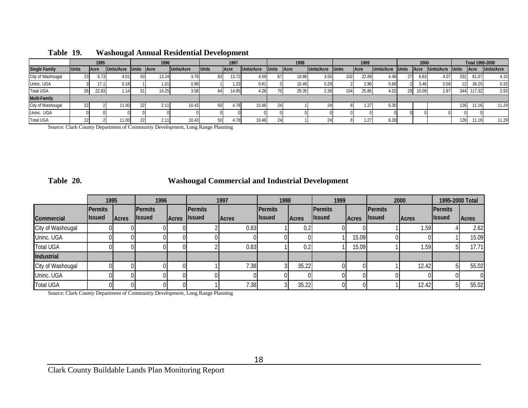|                      |                 | 1995  |            |              | 1996         |            |              | 1997         |            |              | 1998  |            |               | 1999         |            |              | 2000         |            |              | Total 1995-2000 |                   |
|----------------------|-----------------|-------|------------|--------------|--------------|------------|--------------|--------------|------------|--------------|-------|------------|---------------|--------------|------------|--------------|--------------|------------|--------------|-----------------|-------------------|
| <b>Single Family</b> | <b>Units</b>    | Acre  | Units/Acre | <b>Units</b> | <b>IAcre</b> | Units/Acre | <b>Units</b> | <b>IAcre</b> | Units/Acre | <b>Jnits</b> | Acre  | Units/Acre | <b>IUnits</b> | <b>IAcre</b> | Units/Acre | <b>Units</b> | <b>IAcre</b> | Units/Acre | <b>Units</b> | <b>Acre</b>     | <b>Units/Acre</b> |
| City of Washougal    | 23              | 5.73  | 4.01       |              | 13.24        |            |              | 13.72        | 4.59       |              | 18.86 | 3.55       | 102           | 22.89        | 4.46       | 27           | 6.63         | 4.07       | 332          | 81.07           | 4.10              |
| Uninc. UGA           |                 | 17.1  | 0.18       |              | 1.01         | 0.99       |              | 1.23         | 0.81       |              | 10.49 | 0.29       |               | 2.96         | 0.68       |              | 3.46         | 0.58       |              | 36.25           | 0.33              |
| <b>Total UGA</b>     |                 | 22.83 | . 141      |              | 14.25.       | 3.58       | 64           | 14.95        | 4.28       |              | 29.35 | 2.39       | 104           | 25.85        | 4.02       |              | 10.09        | 2.87       | 344          | 117.32          | 2.93              |
| <b>Multi-Family</b>  |                 |       |            |              |              |            |              |              |            |              |       |            |               |              |            |              |              |            |              |                 |                   |
| City of Washougal    | 22 <sub>l</sub> |       | 1.00       |              | 2.11         | 10.43      |              | $+78$        | 10.46      |              |       |            |               | .27          | 6.30       |              |              |            | 126          |                 | 11.29             |
| Uninc. UGA           |                 |       |            |              |              |            |              |              |            |              |       |            |               |              |            |              |              |            |              |                 |                   |
| <b>Total UGA</b>     |                 |       | 11.00      |              | 2.11         | 10.43      | 501          | $+78$        | 10.46      |              |       |            |               | 271          | 6.30       |              |              |            | 126          |                 | 11.29             |

### **Table 19. Washougal Annual Residential Development**

Source: Clark County Department of Community Development, Long Range Planning

### **Table 20. Washougal Commercial and Industrial Development**

|                   | 1995                            |              | 1996                             |               | 1997                            |              | 1998                     |              | 1999                     |       | 2000                     |              | 1995-2000 Total                 |              |
|-------------------|---------------------------------|--------------|----------------------------------|---------------|---------------------------------|--------------|--------------------------|--------------|--------------------------|-------|--------------------------|--------------|---------------------------------|--------------|
| Commercial        | <b>Permits</b><br><b>Issued</b> | <b>Acres</b> | <b>IPermits</b><br><b>Issued</b> | <b>IAcres</b> | <b>Permits</b><br><b>Issued</b> | <b>Acres</b> | Permits<br><b>Issued</b> | <b>Acres</b> | Permits<br><b>Issued</b> | Acres | Permits<br><b>Issued</b> | <b>Acres</b> | <b>Permits</b><br><b>Issued</b> | <b>Acres</b> |
| City of Washougal |                                 |              |                                  |               |                                 | 0.83         |                          | 0.2          |                          |       |                          | .591         |                                 | 2.62         |
| Uninc. UGA        |                                 |              | ΩL                               |               |                                 |              |                          |              |                          | 15.09 |                          |              |                                 | 15.09        |
| <b>Total UGA</b>  |                                 |              |                                  |               |                                 | 0.83         |                          | 0.2          |                          | 15.09 |                          | .59          |                                 | 17.71        |
| <b>Industrial</b> |                                 |              |                                  |               |                                 |              |                          |              |                          |       |                          |              |                                 |              |
| City of Washougal |                                 |              | ΩL                               |               |                                 | 7.38         |                          | 35.22        |                          |       |                          | 12.42        |                                 | 55.02        |
| Uninc. UGA        |                                 |              | ΩI                               |               |                                 |              |                          |              |                          |       |                          |              |                                 | $\Omega$     |
| <b>Total UGA</b>  |                                 |              | 0Ι                               |               |                                 | 7.38         |                          | 35.22        |                          |       |                          | 12.42        |                                 | 55.02        |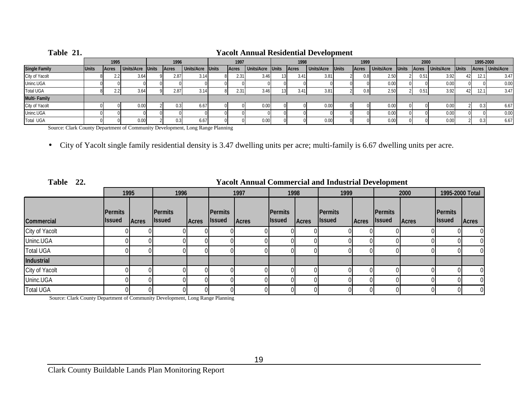| Table 21.            |              | <b>Yacolt Annual Residential Development</b> |                  |  |       |                  |  |              |                  |  |       |                  |       |                   |              |       |                   |              |           |                    |
|----------------------|--------------|----------------------------------------------|------------------|--|-------|------------------|--|--------------|------------------|--|-------|------------------|-------|-------------------|--------------|-------|-------------------|--------------|-----------|--------------------|
|                      |              | 1995                                         |                  |  | 1996  |                  |  | 1997         |                  |  | 1998  |                  | 1999  |                   |              | 2000  |                   |              | 1995-2000 |                    |
| <b>Single Family</b> | <b>Units</b> | Acres                                        | Units/Acre Units |  | Acres | Units/Acre Units |  | <b>Acres</b> | Units/Acre Units |  | Acres | Units/Acre Units | Acres | <b>Units/Acre</b> | <b>Units</b> | Acres | <b>Units/Acre</b> | <b>Units</b> |           | Acres   Units/Acre |
| City of Yacolt       |              |                                              | ა.64             |  | 2.87  | 3.14             |  | 2.31         | 3.46             |  | 3.41  | 3.81             |       | 2.50              |              | 0.51  | 3.92              | 421          | 12.1      | 3.47               |
| Uninc.UGA            |              |                                              |                  |  |       |                  |  |              |                  |  |       |                  |       | 0.00              |              |       | 0.00              |              |           | 0.00               |
| <b>Total UGA</b>     |              |                                              | 3.64             |  | 2.87  | 3.14             |  | 2.31         | 3.46             |  | 3.41  | 3.81             |       | 2.50              |              |       | 392               | 421          | 12.1      | 3.47               |
| <b>Multi-Family</b>  |              |                                              |                  |  |       |                  |  |              |                  |  |       |                  |       |                   |              |       |                   |              |           |                    |
| City of Yacolt       |              |                                              | 0.00             |  | 0.3   | 6.67             |  |              | 0.00             |  |       | 0.00             |       | 0.00              |              |       |                   |              |           | 6.67               |
| Uninc.UGA            |              |                                              |                  |  |       |                  |  |              |                  |  |       |                  |       | 0.00              |              |       | 0.00              |              |           | 0.00               |
| <b>Total UGA</b>     |              |                                              | 0.00             |  | 0.3   | 6.67             |  |              | 0.00             |  |       | 0.00             |       | 0.00              |              |       | 0.00              |              |           | 6.67               |

Source: Clark County Department of Community Development, Long Range Planning

• City of Yacolt single family residential density is 3.47 dwelling units per acre; multi-family is 6.67 dwelling units per acre.

| Table 22.        | <b>Yacolt Annual Commercial and Industrial Development</b> |              |                                  |              |                                  |       |                                 |              |                                 |              |                                  |              |                                   |                |
|------------------|------------------------------------------------------------|--------------|----------------------------------|--------------|----------------------------------|-------|---------------------------------|--------------|---------------------------------|--------------|----------------------------------|--------------|-----------------------------------|----------------|
|                  | 1995                                                       |              | 1996                             |              | 1997                             |       | 1998                            |              | 1999                            |              | 2000                             |              | 1995-2000 Total                   |                |
| Commercial       | <b>IPermits</b><br><b>Issued</b>                           | <b>Acres</b> | <b>IPermits</b><br><b>Issued</b> | <b>Acres</b> | <b>IPermits</b><br><b>Issued</b> | Acres | <b>Permits</b><br><b>Issued</b> | <b>Acres</b> | <b>Permits</b><br><b>Issued</b> | <b>Acres</b> | <b>IPermits</b><br><b>Issued</b> | <b>Acres</b> | <b>I</b> Permits<br><b>Issued</b> | Acres          |
| City of Yacolt   |                                                            |              |                                  |              |                                  |       |                                 |              |                                 |              |                                  |              |                                   |                |
| Uninc.UGA        | 0                                                          |              |                                  |              |                                  |       |                                 |              |                                 |              |                                  |              |                                   | $\overline{0}$ |
| <b>Total UGA</b> |                                                            |              |                                  |              |                                  |       |                                 |              |                                 |              |                                  |              |                                   | $\overline{0}$ |
| Industrial       |                                                            |              |                                  |              |                                  |       |                                 |              |                                 |              |                                  |              |                                   |                |
| City of Yacolt   |                                                            |              |                                  |              |                                  |       |                                 |              |                                 |              |                                  |              |                                   |                |
| Uninc.UGA        |                                                            |              |                                  |              |                                  |       |                                 |              |                                 |              |                                  |              |                                   | $\overline{0}$ |
| <b>Total UGA</b> |                                                            |              | 01                               |              |                                  |       |                                 |              |                                 |              |                                  |              |                                   | $\overline{0}$ |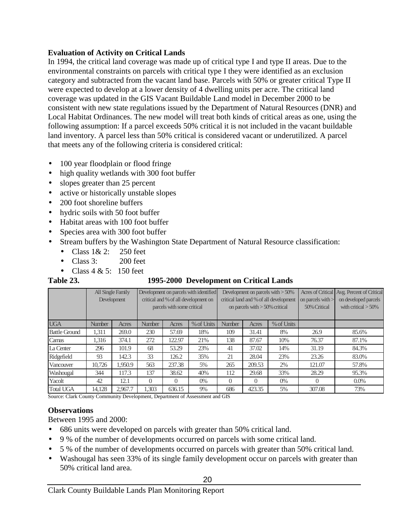### **Evaluation of Activity on Critical Lands**

In 1994, the critical land coverage was made up of critical type I and type II areas. Due to the environmental constraints on parcels with critical type I they were identified as an exclusion category and subtracted from the vacant land base. Parcels with 50% or greater critical Type II were expected to develop at a lower density of 4 dwelling units per acre. The critical land coverage was updated in the GIS Vacant Buildable Land model in December 2000 to be consistent with new state regulations issued by the Department of Natural Resources (DNR) and Local Habitat Ordinances. The new model will treat both kinds of critical areas as one, using the following assumption: If a parcel exceeds 50% critical it is not included in the vacant buildable land inventory. A parcel less than 50% critical is considered vacant or underutilized. A parcel that meets any of the following criteria is considered critical:

- 100 year floodplain or flood fringe
- high quality wetlands with 300 foot buffer
- slopes greater than 25 percent
- active or historically unstable slopes
- 200 foot shoreline buffers
- hydric soils with 50 foot buffer
- Habitat areas with 100 foot buffer
- Species area with 300 foot buffer
- Stream buffers by the Washington State Department of Natural Resource classification:
	- Class  $1 & 2$ : 250 feet
	- Class 3: 200 feet
	- Class  $4 \& 5: 150$  feet

### **Table 23. 1995-2000 Development on Critical Lands**

|                      | <b>All Single Family</b><br>Development |         |               | parcels with some critical | Development on parcels with identified<br>critical and % of all development on |                                      | on parcels with $> 50\%$ critical | Development on parcels with $>50\%$<br>critical land and % of all development | on parcels with $>$<br>50% Critical | Acres of Critical Avg. Percent of Critical<br>on developed parcels<br>with critical $> 50\%$ |
|----------------------|-----------------------------------------|---------|---------------|----------------------------|--------------------------------------------------------------------------------|--------------------------------------|-----------------------------------|-------------------------------------------------------------------------------|-------------------------------------|----------------------------------------------------------------------------------------------|
| <b>UGA</b>           | <b>Number</b>                           | Acres   | <b>Number</b> | Acres                      | % of Units                                                                     | % of Units<br><b>Number</b><br>Acres |                                   |                                                                               |                                     |                                                                                              |
| <b>Battle Ground</b> | 1,311                                   | 269.0   | 230           | 57.69                      | 18%                                                                            | 109                                  | 31.41                             | 8%                                                                            | 26.9                                | 85.6%                                                                                        |
| Camas                | 1.316                                   | 374.1   | 272           | 122.97                     | 21%                                                                            | 138                                  | 87.67                             | 10%                                                                           | 76.37                               | 87.1%                                                                                        |
| La Center            | 296                                     | 101.9   | 68            | 53.29                      | 23%                                                                            | 41                                   | 37.02                             | 14%                                                                           | 31.19                               | 84.3%                                                                                        |
| Ridgefield           | 93                                      | 142.3   | 33            | 126.2                      | 35%                                                                            | 21                                   | 28.04                             | 23%                                                                           | 23.26                               | 83.0%                                                                                        |
| Vancouver            | 10.726                                  | 1.950.9 | 563           | 237.38                     | 5%                                                                             | 265                                  | 209.53                            | 2%                                                                            | 121.07                              | 57.8%                                                                                        |
| Washougal            | 344                                     | 117.3   | 137           | 38.62                      | 40%                                                                            | 112                                  | 29.68                             | 33%                                                                           | 28.29                               | 95.3%                                                                                        |
| Yacolt               | 42                                      | 12.1    | $\Omega$      | $\Omega$                   | $0\%$                                                                          | $\Omega$<br>$\Omega$<br>$0\%$        |                                   | 0                                                                             | $0.0\%$                             |                                                                                              |
| <b>Total UGA</b>     | 14.128                                  | 2.967.7 | 1.303         | 636.15                     | 9%                                                                             | 686                                  | 423.35                            | 5%                                                                            | 307.08                              | 73%                                                                                          |

Source: Clark County Community Development, Department of Assessment and GIS

### **Observations**

Between 1995 and 2000:

- 686 units were developed on parcels with greater than 50% critical land.
- 9 % of the number of developments occurred on parcels with some critical land.
- 5 % of the number of developments occurred on parcels with greater than 50% critical land.
- Washougal has seen 33% of its single family development occur on parcels with greater than 50% critical land area.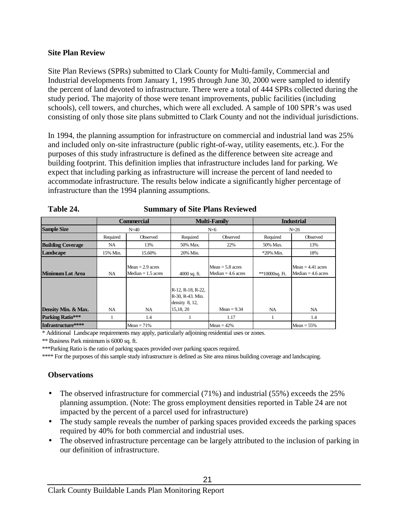### **Site Plan Review**

Site Plan Reviews (SPRs) submitted to Clark County for Multi-family, Commercial and Industrial developments from January 1, 1995 through June 30, 2000 were sampled to identify the percent of land devoted to infrastructure. There were a total of 444 SPRs collected during the study period. The majority of those were tenant improvements, public facilities (including schools), cell towers, and churches, which were all excluded. A sample of 100 SPR's was used consisting of only those site plans submitted to Clark County and not the individual jurisdictions.

In 1994, the planning assumption for infrastructure on commercial and industrial land was 25% and included only on-site infrastructure (public right-of-way, utility easements, etc.). For the purposes of this study infrastructure is defined as the difference between site acreage and building footprint. This definition implies that infrastructure includes land for parking. We expect that including parking as infrastructure will increase the percent of land needed to accommodate infrastructure. The results below indicate a significantly higher percentage of infrastructure than the 1994 planning assumptions.

|                          |                                                         | <b>Commercial</b> |                                                                        | <b>Multi-Family</b> |                  | <b>Industrial</b>                           |
|--------------------------|---------------------------------------------------------|-------------------|------------------------------------------------------------------------|---------------------|------------------|---------------------------------------------|
| <b>Sample Size</b>       |                                                         | $N = 40$          |                                                                        | $N=6$               |                  | $N = 26$                                    |
|                          | Required                                                | Observed          | Required                                                               | Observed            | Required         | Observed                                    |
| <b>Building Coverage</b> | NA                                                      | 13%               | 50% Max.                                                               | 22%                 | 50% Max.         | 13%                                         |
| Landscape                | 15% Min.<br>15.60%                                      |                   | 20% Min.                                                               |                     | $*20\%$ Min.     | 18%                                         |
| <b>Minimum Lot Area</b>  | $Mean = 2.9$ acres<br>$Median = 1.5 acres$<br><b>NA</b> |                   | Mean $= 5.8$ acres<br>$Median = 4.6 acres$<br>$4000$ sq. ft.           |                     | $*10000$ sq. Ft. | Mean $= 4.41$ acres<br>Median $=$ 4.6 acres |
| Density Min. & Max.      | <b>NA</b>                                               | NA.               | R-12, R-18, R-22,<br>R-30, R-43. Min.<br>density $8, 12,$<br>15,18, 20 | $Mean = 9.34$       | NA.              | NA.                                         |
| <b>Parking Ratio***</b>  |                                                         | 1.4               |                                                                        | 1.17                |                  | 1.4                                         |
| Infrastructure****       |                                                         | $Mean = 71\%$     |                                                                        | $Mean = 42\%$       |                  | $Mean = 55\%$                               |

| Table 24. | <b>Summary of Site Plans Reviewed</b> |
|-----------|---------------------------------------|
|-----------|---------------------------------------|

\* Additional Landscape requirements may apply, particularly adjoining residential uses or zones.

\*\* Business Park minimum is 6000 sq. ft.

\*\*\*Parking Ratio is the ratio of parking spaces provided over parking spaces required.

\*\*\*\* For the purposes of this sample study infrastructure is defined as Site area minus building coverage and landscaping.

### **Observations**

- The observed infrastructure for commercial (71%) and industrial (55%) exceeds the 25% planning assumption. (Note: The gross employment densities reported in Table 24 are not impacted by the percent of a parcel used for infrastructure)
- The study sample reveals the number of parking spaces provided exceeds the parking spaces required by 40% for both commercial and industrial uses.
- The observed infrastructure percentage can be largely attributed to the inclusion of parking in our definition of infrastructure.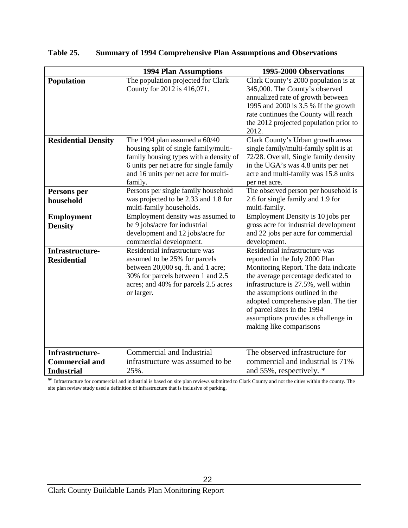| Table 25. |  |  | <b>Summary of 1994 Comprehensive Plan Assumptions and Observations</b> |  |
|-----------|--|--|------------------------------------------------------------------------|--|
|-----------|--|--|------------------------------------------------------------------------|--|

|                                                               | <b>1994 Plan Assumptions</b>                                                                                                                                                                                  | 1995-2000 Observations                                                                                                                                                                                                                                                                                                                                              |
|---------------------------------------------------------------|---------------------------------------------------------------------------------------------------------------------------------------------------------------------------------------------------------------|---------------------------------------------------------------------------------------------------------------------------------------------------------------------------------------------------------------------------------------------------------------------------------------------------------------------------------------------------------------------|
| <b>Population</b>                                             | The population projected for Clark<br>County for 2012 is 416,071.                                                                                                                                             | Clark County's 2000 population is at<br>345,000. The County's observed<br>annualized rate of growth between<br>1995 and 2000 is 3.5 % If the growth<br>rate continues the County will reach<br>the 2012 projected population prior to<br>2012.                                                                                                                      |
| <b>Residential Density</b>                                    | The 1994 plan assumed a 60/40<br>housing split of single family/multi-<br>family housing types with a density of<br>6 units per net acre for single family<br>and 16 units per net acre for multi-<br>family. | Clark County's Urban growth areas<br>single family/multi-family split is at<br>72/28. Overall, Single family density<br>in the UGA's was 4.8 units per net<br>acre and multi-family was 15.8 units<br>per net acre.                                                                                                                                                 |
| Persons per<br>household                                      | Persons per single family household<br>was projected to be 2.33 and 1.8 for<br>multi-family households.                                                                                                       | The observed person per household is<br>2.6 for single family and 1.9 for<br>multi-family.                                                                                                                                                                                                                                                                          |
| <b>Employment</b><br><b>Density</b>                           | Employment density was assumed to<br>be 9 jobs/acre for industrial<br>development and 12 jobs/acre for<br>commercial development.                                                                             | Employment Density is 10 jobs per<br>gross acre for industrial development<br>and 22 jobs per acre for commercial<br>development.                                                                                                                                                                                                                                   |
| Infrastructure-<br><b>Residential</b>                         | Residential infrastructure was<br>assumed to be 25% for parcels<br>between 20,000 sq. ft. and 1 acre;<br>30% for parcels between 1 and 2.5<br>acres; and 40% for parcels 2.5 acres<br>or larger.              | Residential infrastructure was<br>reported in the July 2000 Plan<br>Monitoring Report. The data indicate<br>the average percentage dedicated to<br>infrastructure is 27.5%, well within<br>the assumptions outlined in the<br>adopted comprehensive plan. The tier<br>of parcel sizes in the 1994<br>assumptions provides a challenge in<br>making like comparisons |
| Infrastructure-<br><b>Commercial and</b><br><b>Industrial</b> | Commercial and Industrial<br>infrastructure was assumed to be.<br>25%.                                                                                                                                        | The observed infrastructure for<br>commercial and industrial is 71%<br>and 55%, respectively. *                                                                                                                                                                                                                                                                     |

**\*** Infrastructure for commercial and industrial is based on site plan reviews submitted to Clark County and not the cities within the county. The site plan review study used a definition of infrastructure that is inclusive of parking.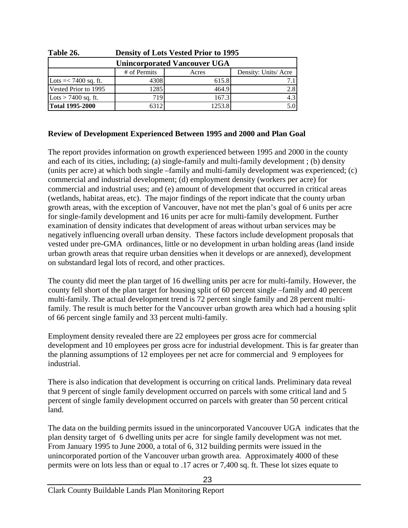| Table 26.              | Density of Lots vested Prior to 1995         |        |       |  |  |  |  |  |  |  |  |  |
|------------------------|----------------------------------------------|--------|-------|--|--|--|--|--|--|--|--|--|
|                        | <b>Unincorporated Vancouver UGA</b>          |        |       |  |  |  |  |  |  |  |  |  |
|                        | # of Permits<br>Density: Units/Acre<br>Acres |        |       |  |  |  |  |  |  |  |  |  |
| Lots $=< 7400$ sq. ft. | 4308                                         | 615.8  | 7 1 I |  |  |  |  |  |  |  |  |  |
| Vested Prior to 1995   | 1285                                         | 464.9  | 2.8   |  |  |  |  |  |  |  |  |  |
| Lots $> 7400$ sq. ft.  | 719                                          | 167.3  | 4.3   |  |  |  |  |  |  |  |  |  |
| <b>Total 1995-2000</b> | 63121                                        | 1253.8 | 5.0   |  |  |  |  |  |  |  |  |  |

**Table 26. Density of Lots Vested Prior to 1995**

### **Review of Development Experienced Between 1995 and 2000 and Plan Goal**

The report provides information on growth experienced between 1995 and 2000 in the county and each of its cities, including; (a) single-family and multi-family development ; (b) density (units per acre) at which both single –family and multi-family development was experienced; (c) commercial and industrial development; (d) employment density (workers per acre) for commercial and industrial uses; and (e) amount of development that occurred in critical areas (wetlands, habitat areas, etc). The major findings of the report indicate that the county urban growth areas, with the exception of Vancouver, have not met the plan's goal of 6 units per acre for single-family development and 16 units per acre for multi-family development. Further examination of density indicates that development of areas without urban services may be negatively influencing overall urban density. These factors include development proposals that vested under pre-GMA ordinances, little or no development in urban holding areas (land inside urban growth areas that require urban densities when it develops or are annexed), development on substandard legal lots of record, and other practices.

The county did meet the plan target of 16 dwelling units per acre for multi-family. However, the county fell short of the plan target for housing split of 60 percent single –family and 40 percent multi-family. The actual development trend is 72 percent single family and 28 percent multifamily. The result is much better for the Vancouver urban growth area which had a housing split of 66 percent single family and 33 percent multi-family.

Employment density revealed there are 22 employees per gross acre for commercial development and 10 employees per gross acre for industrial development. This is far greater than the planning assumptions of 12 employees per net acre for commercial and 9 employees for industrial.

There is also indication that development is occurring on critical lands. Preliminary data reveal that 9 percent of single family development occurred on parcels with some critical land and 5 percent of single family development occurred on parcels with greater than 50 percent critical land.

The data on the building permits issued in the unincorporated Vancouver UGA indicates that the plan density target of 6 dwelling units per acre for single family development was not met. From January 1995 to June 2000, a total of 6, 312 building permits were issued in the unincorporated portion of the Vancouver urban growth area. Approximately 4000 of these permits were on lots less than or equal to .17 acres or 7,400 sq. ft. These lot sizes equate to

23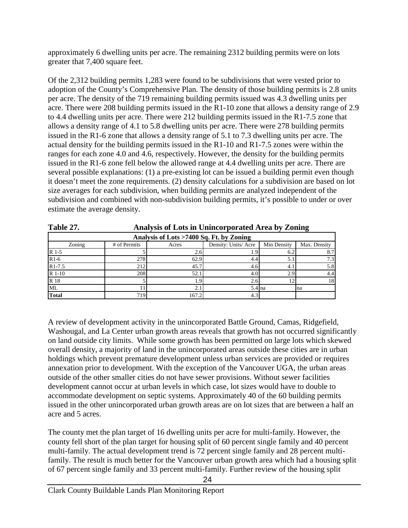approximately 6 dwelling units per acre. The remaining 2312 building permits were on lots greater that 7,400 square feet.

Of the 2,312 building permits 1,283 were found to be subdivisions that were vested prior to adoption of the County's Comprehensive Plan. The density of those building permits is 2.8 units per acre. The density of the 719 remaining building permits issued was 4.3 dwelling units per acre. There were 208 building permits issued in the R1-10 zone that allows a density range of 2.9 to 4.4 dwelling units per acre. There were 212 building permits issued in the R1-7.5 zone that allows a density range of 4.1 to 5.8 dwelling units per acre. There were 278 building permits issued in the R1-6 zone that allows a density range of 5.1 to 7.3 dwelling units per acre. The actual density for the building permits issued in the R1-10 and R1-7.5 zones were within the ranges for each zone 4.0 and 4.6, respectively. However, the density for the building permits issued in the R1-6 zone fell below the allowed range at 4.4 dwelling units per acre. There are several possible explanations: (1) a pre-existing lot can be issued a building permit even though it doesn't meet the zone requirements. (2) density calculations for a subdivision are based on lot size averages for each subdivision, when building permits are analyzed independent of the subdivision and combined with non-subdivision building permits, it's possible to under or over estimate the average density.

| $\mathbf{1}$ avit $\mathbf{2}$ |              | $\mu$ and $\mu$ sis of Equs in Chinevi por ateu $\mu$ at ea by Equing |                     |             |              |  |  |  |  |  |  |  |  |
|--------------------------------|--------------|-----------------------------------------------------------------------|---------------------|-------------|--------------|--|--|--|--|--|--|--|--|
|                                |              | Analysis of Lots >7400 Sq. Ft. by Zoning                              |                     |             |              |  |  |  |  |  |  |  |  |
| Zoning                         | # of Permits | Acres                                                                 | Density: Units/Acre | Min Density | Max. Density |  |  |  |  |  |  |  |  |
| R 1-5                          |              | 2.6'                                                                  | 1.9                 |             | 8.7          |  |  |  |  |  |  |  |  |
| $R1-6$                         | 278          | 62.9                                                                  | 4.4                 |             | 7.3          |  |  |  |  |  |  |  |  |
| $R1 - 7.5$                     | 212          | 45.7                                                                  | 4.6                 | 4.          | 5.8          |  |  |  |  |  |  |  |  |
| R 1-10                         | 208          | 52.                                                                   | 4.0                 | 2.9         | 4.4          |  |  |  |  |  |  |  |  |
| R 18                           |              |                                                                       | 2.6                 |             | 18           |  |  |  |  |  |  |  |  |
| ML                             |              |                                                                       | $5.4$ na            |             | na           |  |  |  |  |  |  |  |  |
| <b>Total</b>                   | 719          | 167.2                                                                 | 4.3                 |             |              |  |  |  |  |  |  |  |  |

**Table 27. Analysis of Lots in Unincorporated Area by Zoning**

A review of development activity in the unincorporated Battle Ground, Camas, Ridgefield, Washougal, and La Center urban growth areas reveals that growth has not occurred significantly on land outside city limits. While some growth has been permitted on large lots which skewed overall density, a majority of land in the unincorporated areas outside these cities are in urban holdings which prevent premature development unless urban services are provided or requires annexation prior to development. With the exception of the Vancouver UGA, the urban areas outside of the other smaller cities do not have sewer provisions. Without sewer facilities development cannot occur at urban levels in which case, lot sizes would have to double to accommodate development on septic systems. Approximately 40 of the 60 building permits issued in the other unincorporated urban growth areas are on lot sizes that are between a half an acre and 5 acres.

The county met the plan target of 16 dwelling units per acre for multi-family. However, the county fell short of the plan target for housing split of 60 percent single family and 40 percent multi-family. The actual development trend is 72 percent single family and 28 percent multifamily. The result is much better for the Vancouver urban growth area which had a housing split of 67 percent single family and 33 percent multi-family. Further review of the housing split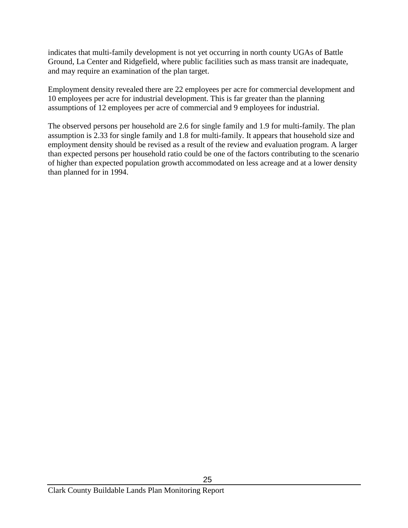indicates that multi-family development is not yet occurring in north county UGAs of Battle Ground, La Center and Ridgefield, where public facilities such as mass transit are inadequate, and may require an examination of the plan target.

Employment density revealed there are 22 employees per acre for commercial development and 10 employees per acre for industrial development. This is far greater than the planning assumptions of 12 employees per acre of commercial and 9 employees for industrial.

The observed persons per household are 2.6 for single family and 1.9 for multi-family. The plan assumption is 2.33 for single family and 1.8 for multi-family. It appears that household size and employment density should be revised as a result of the review and evaluation program. A larger than expected persons per household ratio could be one of the factors contributing to the scenario of higher than expected population growth accommodated on less acreage and at a lower density than planned for in 1994.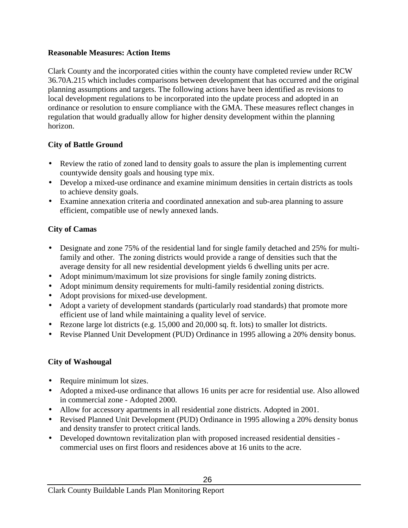### **Reasonable Measures: Action Items**

Clark County and the incorporated cities within the county have completed review under RCW 36.70A.215 which includes comparisons between development that has occurred and the original planning assumptions and targets. The following actions have been identified as revisions to local development regulations to be incorporated into the update process and adopted in an ordinance or resolution to ensure compliance with the GMA. These measures reflect changes in regulation that would gradually allow for higher density development within the planning horizon.

# **City of Battle Ground**

- Review the ratio of zoned land to density goals to assure the plan is implementing current countywide density goals and housing type mix.
- Develop a mixed-use ordinance and examine minimum densities in certain districts as tools to achieve density goals.
- Examine annexation criteria and coordinated annexation and sub-area planning to assure efficient, compatible use of newly annexed lands.

# **City of Camas**

- Designate and zone 75% of the residential land for single family detached and 25% for multifamily and other. The zoning districts would provide a range of densities such that the average density for all new residential development yields 6 dwelling units per acre.
- Adopt minimum/maximum lot size provisions for single family zoning districts.
- Adopt minimum density requirements for multi-family residential zoning districts.
- Adopt provisions for mixed-use development.
- Adopt a variety of development standards (particularly road standards) that promote more efficient use of land while maintaining a quality level of service.
- Rezone large lot districts (e.g. 15,000 and 20,000 sq. ft. lots) to smaller lot districts.
- Revise Planned Unit Development (PUD) Ordinance in 1995 allowing a 20% density bonus.

# **City of Washougal**

- Require minimum lot sizes.
- Adopted a mixed-use ordinance that allows 16 units per acre for residential use. Also allowed in commercial zone - Adopted 2000.
- Allow for accessory apartments in all residential zone districts. Adopted in 2001.
- Revised Planned Unit Development (PUD) Ordinance in 1995 allowing a 20% density bonus and density transfer to protect critical lands.
- Developed downtown revitalization plan with proposed increased residential densities commercial uses on first floors and residences above at 16 units to the acre.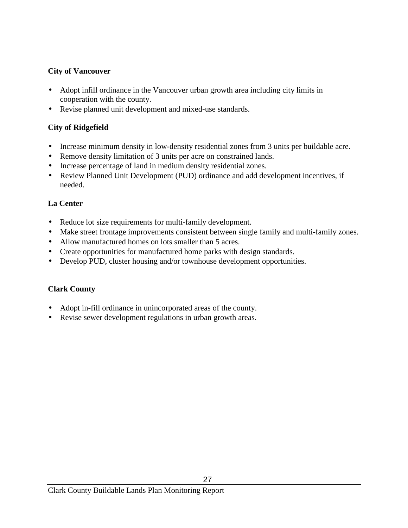### **City of Vancouver**

- Adopt infill ordinance in the Vancouver urban growth area including city limits in cooperation with the county.
- Revise planned unit development and mixed-use standards.

# **City of Ridgefield**

- Increase minimum density in low-density residential zones from 3 units per buildable acre.
- Remove density limitation of 3 units per acre on constrained lands.
- Increase percentage of land in medium density residential zones.
- Review Planned Unit Development (PUD) ordinance and add development incentives, if needed.

# **La Center**

- Reduce lot size requirements for multi-family development.
- Make street frontage improvements consistent between single family and multi-family zones.
- Allow manufactured homes on lots smaller than 5 acres.
- Create opportunities for manufactured home parks with design standards.
- Develop PUD, cluster housing and/or townhouse development opportunities.

### **Clark County**

- Adopt in-fill ordinance in unincorporated areas of the county.
- Revise sewer development regulations in urban growth areas.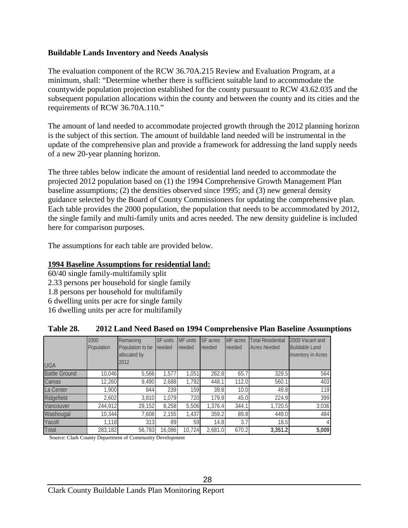### **Buildable Lands Inventory and Needs Analysis**

The evaluation component of the RCW 36.70A.215 Review and Evaluation Program, at a minimum, shall: "Determine whether there is sufficient suitable land to accommodate the countywide population projection established for the county pursuant to RCW 43.62.035 and the subsequent population allocations within the county and between the county and its cities and the requirements of RCW 36.70A.110."

The amount of land needed to accommodate projected growth through the 2012 planning horizon is the subject of this section. The amount of buildable land needed will be instrumental in the update of the comprehensive plan and provide a framework for addressing the land supply needs of a new 20-year planning horizon.

The three tables below indicate the amount of residential land needed to accommodate the projected 2012 population based on (1) the 1994 Comprehensive Growth Management Plan baseline assumptions; (2) the densities observed since 1995; and (3) new general density guidance selected by the Board of County Commissioners for updating the comprehensive plan. Each table provides the 2000 population, the population that needs to be accommodated by 2012, the single family and multi-family units and acres needed. The new density guideline is included here for comparison purposes.

The assumptions for each table are provided below.

### **1994 Baseline Assumptions for residential land:**

60/40 single family-multifamily split 2.33 persons per household for single family 1.8 persons per household for multifamily 6 dwelling units per acre for single family 16 dwelling units per acre for multifamily

| <b>UGA</b>           | 2000<br>Population | Remaining<br>Population to be<br>allocated by<br>2012 | <b>SF</b> units<br>needed | MF units<br>needed | SF acres<br>needed | MF acres<br>needed | <b>Total Residential</b><br><b>Acres Needed</b> | 2000 Vacant and<br><b>Buildable Land</b><br><b>Inventory in Acres</b> |
|----------------------|--------------------|-------------------------------------------------------|---------------------------|--------------------|--------------------|--------------------|-------------------------------------------------|-----------------------------------------------------------------------|
| <b>Battle Ground</b> | 10,046             | 5,566                                                 | 1,577                     | 1,051              | 262.8              | 65.7               | 328.5                                           | 564                                                                   |
| Camas                | 12,260             | 9,490                                                 | 2,688                     | 1,792              | 448.1              | 112.0              | 560.1                                           | 403                                                                   |
| La Center            | 1,900              | 844                                                   | 239                       | 159                | 39.8               | 10.0               | 49.8                                            | 119                                                                   |
| Ridgefield           | 2,602              | 3,810                                                 | 1,079                     | 720                | 179.9              | 45.0               | 224.9                                           | 399                                                                   |
| Vancouver            | 244,912            | 29,152                                                | 8,258                     | 5,506              | 1,376.4            | 344.1              | 1,720.5                                         | 3,036                                                                 |
| Washougal            | 10,344             | 7,608                                                 | 2,155                     | 1,437              | 359.2              | 89.8               | 449.0                                           | 484                                                                   |
| Yacolt               | 1,118              | 313                                                   | 89                        | 59                 | 14.8               | 3.7                | 18.5                                            |                                                                       |
| Total                | 283,182            | 56,783                                                | 16,086                    | 10.724             | 2,681.0            | 670.2              | 3,351.2                                         | 5,009                                                                 |

### **Table 28. 2012 Land Need Based on 1994 Comprehensive Plan Baseline Assumptions**

Source: Clark County Department of Community Development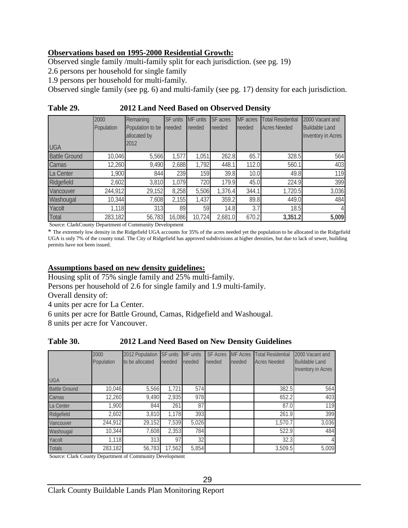### **Observations based on 1995-2000 Residential Growth:**

Observed single family /multi-family split for each jurisdiction. (see pg. 19)

2.6 persons per household for single family

1.9 persons per household for multi-family.

Observed single family (see pg. 6) and multi-family (see pg. 17) density for each jurisdiction.

| .                    |                    | $\blacksquare$ . $\blacksquare$ . The part of the set $\blacksquare$ |                           |                    |                    |                    |                                                 |                                                                       |
|----------------------|--------------------|----------------------------------------------------------------------|---------------------------|--------------------|--------------------|--------------------|-------------------------------------------------|-----------------------------------------------------------------------|
| <b>UGA</b>           | 2000<br>Population | Remaining<br>Population to be<br>allocated by<br>2012                | <b>SF</b> units<br>needed | MF units<br>needed | SF acres<br>needed | MF acres<br>needed | <b>Total Residential</b><br><b>Acres Needed</b> | 2000 Vacant and<br><b>Buildable Land</b><br><b>Inventory in Acres</b> |
| <b>Battle Ground</b> | 10,046             | 5,566                                                                | 1,577                     | 1,051              | 262.8              | 65.7               | 328.5                                           | 564                                                                   |
| Camas                | 12,260             | 9,490                                                                | 2,688                     | 1,792              | 448.1              | 112.0              | 560.1                                           | 403                                                                   |
| La Center            | 1,900              | 844                                                                  | 239                       | 159                | 39.8               | 10.0               | 49.8                                            | 119                                                                   |
| Ridgefield           | 2,602              | 3,810                                                                | 1.079                     | 720                | 179.9              | 45.0               | 224.9                                           | 399                                                                   |
| Vancouver            | 244,912            | 29,152                                                               | 8,258                     | 5,506              | 1,376.4            | 344.1              | 1,720.5                                         | 3,036                                                                 |
| Washougal            | 10,344             | 7,608                                                                | 2,155                     | 1,437              | 359.2              | 89.8               | 449.0                                           | 484                                                                   |
| Yacolt               | 1,118              | 313                                                                  | 89                        | 59                 | 14.8               | 3.7                | 18.5                                            |                                                                       |
| Total                | 283,182            | 56,783                                                               | 16,086                    | 10,724             | 2,681.0            | 670.2              | 3,351.2                                         | 5,009                                                                 |

**Table 29. 2012 Land Need Based on Observed Density**

Source: ClarkCounty Department of Community Development

\* The extremely low density in the Ridgefield UGA accounts for 35% of the acres needed yet the population to be allocated in the Ridgefield UGA is only 7% of the county total. The City of Ridgefield has approved subdivisions at higher densities, but due to lack of sewer, building permits have not been issued.

### **Assumptions based on new density guidelines:**

Housing split of 75% single family and 25% multi-family.

Persons per household of 2.6 for single family and 1.9 multi-family.

Overall density of:

4 units per acre for La Center.

6 units per acre for Battle Ground, Camas, Ridgefield and Washougal.

8 units per acre for Vancouver.

### **Table 30. 2012 Land Need Based on New Density Guidelines**

|                      | 2000<br>Population | 2012 Population<br>to be allocated | <b>SF units</b><br>needed | <b>MF</b> units<br>needed | <b>SF Acres</b><br>needed | <b>MF</b> Acres<br>needed | <b>Total Residential</b><br><b>Acres Needed</b> | 2000 Vacant and<br><b>Buildable Land</b><br><b>Inventory in Acres</b> |  |  |
|----------------------|--------------------|------------------------------------|---------------------------|---------------------------|---------------------------|---------------------------|-------------------------------------------------|-----------------------------------------------------------------------|--|--|
| <b>UGA</b>           |                    |                                    |                           |                           |                           |                           |                                                 |                                                                       |  |  |
| <b>Battle Ground</b> | 10,046             | 5,566                              | 1,721                     | 574                       |                           |                           | 382.5                                           | 564                                                                   |  |  |
| Camas                | 12,260             | 9,490                              | 2,935                     | 978                       |                           |                           | 652.2                                           | 403                                                                   |  |  |
| La Center            | 1,900              | 844                                | 261                       | 87                        |                           |                           | 87.0                                            | 119                                                                   |  |  |
| Ridgefield           | 2,602              | 3,810                              | 1,178                     | 393                       |                           |                           | 261.9                                           | 399                                                                   |  |  |
| Vancouver            | 244,912            | 29,152                             | 7,539                     | 5,026                     |                           |                           | 1,570.7                                         | 3,036                                                                 |  |  |
| Washougal            | 10,344             | 7,608                              | 2,353                     | 784                       |                           |                           | 522.9                                           | 484                                                                   |  |  |
| Yacolt               | 1.118              | 313                                | 97                        | 32                        |                           |                           | 32.3                                            | $\frac{1}{2}$                                                         |  |  |
| <b>Totals</b>        | 283,182            | 56,783                             | 17,562                    | 5,854                     |                           |                           | 3,509.5                                         | 5,009                                                                 |  |  |

Source: Clark County Department of Community Development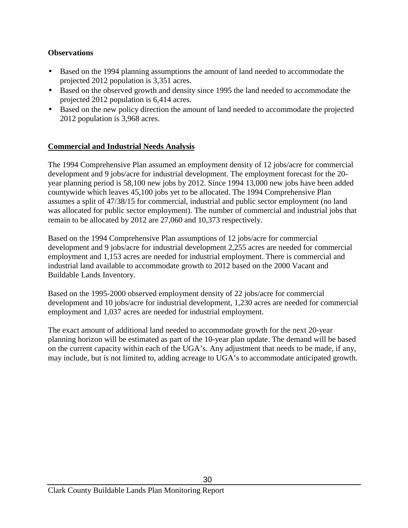### **Observations**

- Based on the 1994 planning assumptions the amount of land needed to accommodate the projected 2012 population is 3,351 acres.
- Based on the observed growth and density since 1995 the land needed to accommodate the projected 2012 population is 6,414 acres.
- Based on the new policy direction the amount of land needed to accommodate the projected 2012 population is 3,968 acres.

### **Commercial and Industrial Needs Analysis**

The 1994 Comprehensive Plan assumed an employment density of 12 jobs/acre for commercial development and 9 jobs/acre for industrial development. The employment forecast for the 20 year planning period is 58,100 new jobs by 2012. Since 1994 13,000 new jobs have been added countywide which leaves 45,100 jobs yet to be allocated. The 1994 Comprehensive Plan assumes a split of 47/38/15 for commercial, industrial and public sector employment (no land was allocated for public sector employment). The number of commercial and industrial jobs that remain to be allocated by 2012 are 27,060 and 10,373 respectively.

Based on the 1994 Comprehensive Plan assumptions of 12 jobs/acre for commercial development and 9 jobs/acre for industrial development 2,255 acres are needed for commercial employment and 1,153 acres are needed for industrial employment. There is commercial and industrial land available to accommodate growth to 2012 based on the 2000 Vacant and Buildable Lands Inventory.

Based on the 1995-2000 observed employment density of 22 jobs/acre for commercial development and 10 jobs/acre for industrial development, 1,230 acres are needed for commercial employment and 1,037 acres are needed for industrial employment.

The exact amount of additional land needed to accommodate growth for the next 20-year planning horizon will be estimated as part of the 10-year plan update. The demand will be based on the current capacity within each of the UGA's. Any adjustment that needs to be made, if any, may include, but is not limited to, adding acreage to UGA's to accommodate anticipated growth.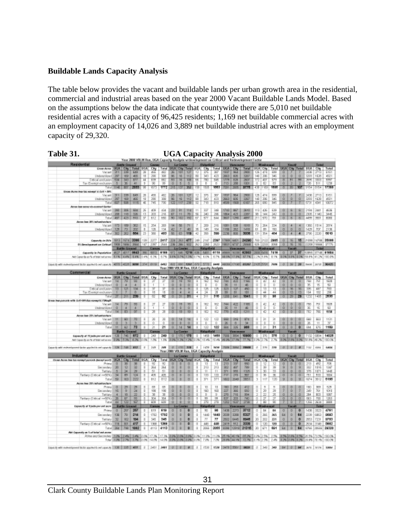### **Buildable Lands Capacity Analysis**

The table below provides the vacant and buildable lands per urban growth area in the residential, commercial and industrial areas based on the year 2000 Vacant Buildable Lands Model. Based on the assumptions below the data indicate that countywide there are 5,010 net buildable residential acres with a capacity of 96,425 residents; 1,169 net buildable commercial acres with an employment capacity of 14,026 and 3,889 net buildable industrial acres with an employment capacity of 29,320.

| Year 2009 VSLIN Rue, UGA Capacity Analysis witkvelepment on Critical and Redevelopment Factor                                                                                                                                  |           |                      |                     |                      |               |                          |                  |                                 |                                |                |                                            |                     |                            |                                |                                                                                                                                 |                |                     |                                   |                        |                      |                      |                                                                                                                                                                             |              |                    |
|--------------------------------------------------------------------------------------------------------------------------------------------------------------------------------------------------------------------------------|-----------|----------------------|---------------------|----------------------|---------------|--------------------------|------------------|---------------------------------|--------------------------------|----------------|--------------------------------------------|---------------------|----------------------------|--------------------------------|---------------------------------------------------------------------------------------------------------------------------------|----------------|---------------------|-----------------------------------|------------------------|----------------------|----------------------|-----------------------------------------------------------------------------------------------------------------------------------------------------------------------------|--------------|--------------------|
| <b>Mesidenball</b><br><b>Indian Greenwill</b>                                                                                                                                                                                  |           |                      |                     | Council              |               |                          |                  | La Castler<br><b>Richardshi</b> |                                |                | <b>Vancouve</b><br><b>Madanga</b>          |                     |                            |                                |                                                                                                                                 |                |                     |                                   | <b>Total</b>           |                      |                      |                                                                                                                                                                             |              |                    |
| <b>Group Aynua UKLA</b>                                                                                                                                                                                                        |           | <b>Cay</b>           | Total               | 37.8                 | <b>OV</b>     |                          |                  |                                 | Total LIGA City Tetel UGA      |                | City                                       |                     | Total DDA Day              |                                | Tatal                                                                                                                           |                |                     | UGA Oly Tetel UGA Oly Tetel UGA   |                        |                      |                      |                                                                                                                                                                             | Oly          | Tetal              |
| Vacant!                                                                                                                                                                                                                        | 211       | 339                  | 649                 | $\infty$             | sii.          | 493                      | ×                | 101                             | 127                            | 12             | 216                                        | ∞                   | 1992                       | <b>SGI</b>                     | 2800                                                                                                                            | 126            | D.                  | 500                               | ū                      |                      |                      | 2420                                                                                                                                                                        | ar ta        | 6161               |
| Understillined 207                                                                                                                                                                                                             |           | 103                  | 405                 | 18                   | 290           | 308                      | 95               | E                               | 112                            | $^{60}$        | 345                                        | 423                 | 2003                       | 805                            | 3267                                                                                                                            | 140            | 205                 | 345                               | $\Omega$               | D.                   | $\circ$              | 3295                                                                                                                                                                        | 1826         | 4521               |
| Mical embusion)                                                                                                                                                                                                                | <b>BM</b> | W                    | <b>BT</b>           | 74                   | रत            | खर                       | <b>RN</b>        | 丽                               | 100                            | छ              | 780                                        | <b>BR</b>           | छाष                        | 63                             | त्राप                                                                                                                           | 172            | w                   | रत                                | त                      | 9T                   | 贾                    | ਨਾਲ                                                                                                                                                                         | 33.73        | सकर                |
| Tax Evernot exclusion                                                                                                                                                                                                          | 5         | 36                   | 48                  | x                    | 90            | $^{26}$                  | $\Omega$         | $\mathbb{R}$                    | B.                             | T              | ж                                          | Б                   | 713                        | 28                             | 1001                                                                                                                            | 0              | 82                  | isi.                              | $\circ$                | $\overline{2}$       | э                    | 726                                                                                                                                                                         | 511          | 1299               |
|                                                                                                                                                                                                                                |           |                      | Tital 1146 BSV 2003 | 須                    |               | 1772   015   137         |                  |                                 | 385                            |                | 505                                        |                     | <b>1053   71011</b>        | 12005                          | 5776                                                                                                                            | 478            | 11.800              | स्त्रह                            | ø                      |                      |                      | 9154                                                                                                                                                                        | 0154         | 17386              |
| Elisbed Picking Shop Talk exchange? IT Cliff > 2015                                                                                                                                                                            |           |                      |                     |                      |               |                          |                  |                                 |                                |                |                                            |                     |                            |                                |                                                                                                                                 |                |                     |                                   |                        |                      |                      |                                                                                                                                                                             |              |                    |
| Vacant 311 339<br>Big 1997 bedicer                                                                                                                                                                                             |           |                      | RAN                 | $\overline{z}$<br>19 | 455<br>390    | 482<br>308               |                  |                                 | 26 101 127<br>99 19 112        | 12<br>90       | 375                                        | $\overline{\infty}$ | trent   rest<br>$3000 - 1$ | 605                            | 2500<br>2067                                                                                                                    | 125            | 47.8<br>140 306     | AUGUST<br>340                     | $\sigma$  <br>$\alpha$ | D.                   | ū.                   | 2439<br>3393                                                                                                                                                                | 2713<br>1639 | 5151               |
|                                                                                                                                                                                                                                |           | Titl 607 508         | <b>SHE</b><br>1115  | 巫                    | 745           | 730                      | $\overline{122}$ | NT                              | 250                            | ब्रा           | 343<br>715                                 | 423<br>B+1          | 4500 1508                  |                                | रुख                                                                                                                             |                | 265 800             | THS.                              | ō                      |                      |                      | टप्र                                                                                                                                                                        | 4341         | 4921               |
|                                                                                                                                                                                                                                |           |                      |                     |                      |               |                          |                  |                                 |                                |                |                                            |                     |                            |                                |                                                                                                                                 |                |                     |                                   |                        |                      |                      |                                                                                                                                                                             |              | 1072               |
| Airpos Joan avevan dy-comment Earther<br>Vacart 200   206   604                                                                                                                                                                |           |                      |                     | 26                   | 439           | sis.                     |                  |                                 | 29 91 114 11                   |                | 227                                        | 3mil                |                            | $1743$   867                   | 2610                                                                                                                            |                | $113$ $636$         | 639                               | 0 <sup>1</sup>         |                      |                      | 8 6 26 240                                                                                                                                                                  |              | dillo              |
| Understrick: 208   118                                                                                                                                                                                                         |           |                      | 326                 | 13                   | 203           | 26                       |                  |                                 | 07 11 70 16                    |                | 240                                        | 28                  | 1004 423                   |                                | 2267                                                                                                                            | 96             | 144                 | 342                               | 0 <sub>1</sub>         | D                    | $\circ$              | 2305                                                                                                                                                                        | 11940        | 3445               |
|                                                                                                                                                                                                                                |           |                      | Total 487 423 910   | 37                   | 812           | 650                      |                  | 50 102                          | 192                            | 67             | 577                                        | 6.84                |                            | 3507 1250                      | <b>APRIL</b>                                                                                                                    |                | 211 570             | 781                               | 0 <sub>1</sub>         | $\overline{6}$       | $5 -$                | 4499 3920                                                                                                                                                                   |              | 5,000              |
| Januar Juan 2011, talkanikan hara-                                                                                                                                                                                             |           |                      |                     |                      |               |                          |                  |                                 |                                |                |                                            |                     |                            |                                |                                                                                                                                 |                |                     |                                   |                        |                      |                      |                                                                                                                                                                             |              |                    |
| Vacant 173   189   362                                                                                                                                                                                                         |           |                      |                     | $15 -$               | 254           | 269                      |                  |                                 | $14$ $36$ $71$                 | 7              | 209                                        | 215                 | 1001 538                   |                                | 1515                                                                                                                            |                | 70 264              | TM                                | $\circ$                | ÷                    | $\overline{a}$       | 1300                                                                                                                                                                        | 1514         | 2074               |
| Unterstriced 128                                                                                                                                                                                                               |           | <b>73 L</b>          | 202                 | 5                    | T25           | 134                      | 42               | 7 <sup>1</sup>                  | 45                             | 选              | 149                                        | 154                 | 1158                       | 28                             | 1418                                                                                                                            | 61             | $\overline{1}$      | 190                               | $\sigma$               | D.                   | $\sigma$             | 1429 707                                                                                                                                                                    |              | 2138               |
|                                                                                                                                                                                                                                |           |                      | Tital 302 352 554   | 23                   | 300           | 483                      |                  |                                 | $55$ $63$ $195$                | $+2$           | 355                                        | 399                 | 2236 800                   |                                | 3338                                                                                                                            | 1311           | 254                 | 454                               | $0-1$                  | $\ddot{\phantom{1}}$ | $\ddot{\phantom{1}}$ | 2790                                                                                                                                                                        | 2220         | 50/90              |
|                                                                                                                                                                                                                                |           |                      |                     |                      |               |                          |                  |                                 |                                |                |                                            |                     |                            |                                |                                                                                                                                 |                |                     |                                   |                        |                      |                      |                                                                                                                                                                             |              |                    |
| Generation DVs 1973 1974 0006 129 2277 2417 228 293 477 28 217 2287 1788 601 24220 293 293 293                                                                                                                                 |           |                      |                     |                      |               |                          |                  |                                 |                                |                |                                            |                     |                            |                                |                                                                                                                                 |                |                     |                                   |                        |                      |                      | $0$ $\frac{1}{2}$ $\frac{1}{2}$ $\frac{1}{2}$ $\frac{1}{2}$ $\frac{1}{2}$ $\frac{1}{2}$ $\frac{1}{2}$ $\frac{1}{2}$ $\frac{1}{2}$ $\frac{1}{2}$ $\frac{1}{2}$ $\frac{1}{2}$ |              | 35086              |
| 01-Development on College   TROS   TROS   DOG   147   2207                                                                                                                                                                     |           |                      |                     |                      |               | $-1.0544$                |                  |                                 |                                |                | 206 206 900 267 2260 2522                  |                     | 12001 9727                 |                                | 2004                                                                                                                            |                |                     | 1 826 2222 3243                   | ठा                     |                      | $\overline{16}$      |                                                                                                                                                                             |              | 2000 1996 77%      |
|                                                                                                                                                                                                                                |           | <b>Battle Ground</b> |                     |                      | <b>Carsis</b> |                          |                  |                                 | <b>LA CHEMI</b>                |                | Ridgebeld                                  |                     | -                          |                                | <b>Vanceuver</b>                                                                                                                |                |                     | <b>Maderage</b>                   |                        | <b>RAGGER</b>        |                      |                                                                                                                                                                             | Tetal        |                    |
| Generic in Previews (452) 4017 8643 205 5553 4168 572 545 1236 526 545 611 8118 5555 7430 5410 556 657 668 678                                                                                                                 |           |                      |                     |                      |               |                          |                  |                                 |                                |                |                                            |                     |                            |                                |                                                                                                                                 |                |                     |                                   | $\sigma$               | $177$ $37$           |                      |                                                                                                                                                                             |              | EXTRA 377-81 91604 |
| NEGWOND ON THE MOVE (1983) 445   845   245   276   276   276   285   276   276   277   277   277   278   278   279   279   279   279   279   279   279   279   279   279   279   279   279   279   279   279   279   279   279 |           |                      |                     |                      |               |                          |                  |                                 |                                |                |                                            |                     |                            |                                |                                                                                                                                 |                |                     |                                   |                        |                      |                      |                                                                                                                                                                             |              |                    |
|                                                                                                                                                                                                                                |           |                      |                     |                      |               |                          |                  |                                 |                                |                |                                            |                     |                            |                                |                                                                                                                                 |                |                     |                                   |                        |                      |                      |                                                                                                                                                                             |              |                    |
| CANCELO METHODICAL ANDERS AND ACCUPACION CANNOT AND THE RESERVE OF A 200   200   200   200   2010   2010   2010   2010   2010   2010   2010   2010   2010   2010   2010   2020   2020   2020   2020   2020   2020   2020   202 |           |                      |                     |                      |               |                          |                  |                                 |                                |                |                                            |                     |                            |                                |                                                                                                                                 |                |                     |                                   |                        |                      |                      |                                                                                                                                                                             |              |                    |
|                                                                                                                                                                                                                                |           |                      |                     |                      |               |                          |                  |                                 |                                |                | Your 2000 VOLM Fare, UGA Capacity Analysis |                     |                            |                                |                                                                                                                                 |                |                     |                                   |                        |                      |                      |                                                                                                                                                                             |              |                    |
| Commercial                                                                                                                                                                                                                     |           | <b>Battle Ground</b> |                     |                      | Carsus        |                          |                  | La Center                       |                                |                | <b>Ridgefield</b>                          |                     |                            | <b><i><u>Малежиния</u></i></b> |                                                                                                                                 |                | <b>Missilveront</b> |                                   |                        | <b>Warrow</b>        |                      |                                                                                                                                                                             | Total        |                    |
| Group Across   LIGAL                                                                                                                                                                                                           |           | <b>City</b>          | Total DEA           |                      | <b>OV</b>     |                          |                  |                                 | Total UGA City Tetal UGA       |                | City                                       | Total               | <b>UGA</b>                 | <b>D</b>                       | Tatal                                                                                                                           |                |                     | UGA City Tetel UGA City Tetel UGA |                        |                      |                      |                                                                                                                                                                             | Oty          | Tetal              |
| <b>Vacant</b>                                                                                                                                                                                                                  | 18        |                      | œ                   | n                    | 29            | 27                       | ū                | 19                              | $\overline{19}$                | ū              | 160                                        | 163                 | 748                        | 42D                            | 1196                                                                                                                            | ū              | c                   | 42                                | ū                      | D                    | ū                    | 760                                                                                                                                                                         | 761          | 1926               |
| Understriked                                                                                                                                                                                                                   | $\sigma$  | $\overline{a}$       | ×                   | т                    |               | x                        | $\circ$          | D.                              | $\circ$                        | $\overline{a}$ | ъ                                          | ō                   | 36                         | 11                             | 46                                                                                                                              | $\sigma$       | ъ                   | D.                                | $\circ$                | D                    | $\Omega$             | B                                                                                                                                                                           | B            | 50                 |
| Mical embasion                                                                                                                                                                                                                 | п<br>×    | Ŧ                    | 134<br>B.           |                      | îä            | 18                       | ₹<br>$\alpha$    | $\overline{4}$                  | Ţ                              | 1              | 렾                                          | 뎧                   | <b>T3</b><br>99            | T3<br><b>BE</b>                | eo.<br><b>VEI</b>                                                                                                               | 꽁              | 豆山                  | A.                                | ₫<br>O.                | w<br>13              | w<br>13              | <b>TP</b><br><b>ITA</b>                                                                                                                                                     | 4IT<br>YSD   | रुत<br>206         |
| Tax Esempt endusion<br>Tital                                                                                                                                                                                                   |           |                      | 279                 |                      |               | 慰                        |                  |                                 |                                |                |                                            | र क                 | œ                          | w                              | स्रा                                                                                                                            | o              |                     | 豜                                 |                        |                      |                      |                                                                                                                                                                             | 405          | त्रक               |
|                                                                                                                                                                                                                                |           |                      |                     |                      |               |                          | o                |                                 |                                |                |                                            |                     |                            |                                |                                                                                                                                 |                |                     |                                   | ū                      |                      |                      |                                                                                                                                                                             |              |                    |
| Tiport 13 hours substitute of the strengths from<br>Vacunt 14                                                                                                                                                                  |           | 791                  | 73                  |                      |               | $\overline{\mathcal{Q}}$ | $\overline{0}$   | 18                              | 79                             |                | 182                                        | 162                 |                            | 748 422                        | 1186                                                                                                                            |                | 42                  | 42                                | $\sigma$               | D                    | $\sigma$             | 755                                                                                                                                                                         | 763          | 75.75              |
| Distributional Q                                                                                                                                                                                                               |           | ×                    | ٠                   | ł                    | 77<br>٠       | Ŧ                        | ù.               | ٠<br>D.                         | 0                              | ł              | n                                          | ö                   | 36                         | 11                             | di.                                                                                                                             | š              | ъ                   | ö                                 | ŭ.                     | D.                   | ŭ                    | ×                                                                                                                                                                           | ÷            | 60                 |
| Tital                                                                                                                                                                                                                          | 14        | 15                   |                     |                      |               |                          |                  |                                 |                                |                | ïΩ                                         |                     | 775                        | 433                            | 1211                                                                                                                            | o              | €                   |                                   | ठ                      |                      | т                    | ਕਿ                                                                                                                                                                          | त्रह         | <b>TOW</b>         |
| Airport Jean 29% latinsattup terra                                                                                                                                                                                             |           |                      |                     |                      |               |                          |                  |                                 |                                |                |                                            |                     |                            |                                |                                                                                                                                 |                |                     |                                   |                        |                      |                      |                                                                                                                                                                             |              |                    |
| Vacant III                                                                                                                                                                                                                     | 11        | 80 <sub>1</sub>      | 30 <sup>1</sup>     | т                    | 20            | w                        |                  | $0$   $14$                      | 14                             | a              | 122                                        | $+20$               |                            | 600 316                        | <b>SOU</b>                                                                                                                      | O.             | $-31$               | 5s                                | $0-1$                  | <b>D</b>             | $\alpha$             | 440                                                                                                                                                                         | PO 1         | 1121               |
| Understilized                                                                                                                                                                                                                  | $\alpha$  | з                    | з                   | x                    | ō             | $\alpha$                 | O.               | D                               | $\alpha$                       | 1              | T                                          | $\sigma$            | z                          | $\sigma$                       | 34                                                                                                                              | $\sigma$       | T)                  | ъ                                 | 0                      | D.                   | $\Omega$             | x                                                                                                                                                                           | $^{11}$      | ×                  |
| Tutal 11                                                                                                                                                                                                                       |           | E2                   | 73                  | $\mathbb{R}$         | $\infty$      | 21                       | O.               | na I                            | 14                             | $\alpha$       | 122                                        | 122                 | <b>Dist</b>                | 305                            | 988                                                                                                                             | O.             | $-31$               | 34                                | O.                     | D.                   | o                    | $-14$                                                                                                                                                                       | EUS          | 1159               |
|                                                                                                                                                                                                                                |           | <b>Battle Ground</b> |                     |                      | Carso         |                          |                  |                                 |                                |                |                                            |                     |                            |                                |                                                                                                                                 |                |                     |                                   |                        |                      |                      |                                                                                                                                                                             | Tets         |                    |
| Сериоту и 17 макри интио» 126 345 872                                                                                                                                                                                          |           |                      |                     | 0 <sup>1</sup>       | 349           | 249                      |                  |                                 |                                |                | 0 170 178 0 1458 1468 7006 3894            |                     |                            |                                | 90900                                                                                                                           |                | $0$   $376$         | 378                               | 0                      | 0 <sup>1</sup>       | $\circ$              | T132                                                                                                                                                                        | CBS4         | 14035              |
| MCGold & A T 150 M ann 1996 539 1296 229 229 229                                                                                                                                                                               |           |                      |                     |                      |               |                          |                  |                                 |                                |                |                                            |                     |                            |                                | 1.8% 0006 1.2% 1.2% 1.0% 1.0.4% 1.0.4% 000% 0.00% 2.2% 1.0% 2.7% 1.2% 0.006 0.006 0.006 1.0.00 1.0.00%                          |                |                     |                                   |                        |                      |                      |                                                                                                                                                                             |              |                    |
| Capacity with maintenance Gallery applies to contain exchange at \$1,200 million and \$1,200 million and \$1,200                                                                                                               |           |                      |                     |                      |               |                          |                  |                                 |                                |                |                                            |                     |                            |                                |                                                                                                                                 |                |                     |                                   |                        |                      |                      |                                                                                                                                                                             |              |                    |
|                                                                                                                                                                                                                                |           |                      |                     |                      |               |                          |                  |                                 |                                |                |                                            |                     |                            |                                |                                                                                                                                 |                |                     |                                   |                        |                      |                      |                                                                                                                                                                             |              | 12034              |
|                                                                                                                                                                                                                                |           |                      |                     |                      |               |                          |                  |                                 |                                |                | Your 2000 VOLM Fare, UGA Capacity Analysis |                     |                            |                                |                                                                                                                                 |                |                     |                                   |                        |                      |                      |                                                                                                                                                                             |              |                    |
| <b>Industrial</b>                                                                                                                                                                                                              |           | <b>Battle Ground</b> |                     |                      |               |                          |                  | La Coutes                       |                                |                | <b>Ridgefield</b>                          |                     |                            | <b>Vanceuve</b>                |                                                                                                                                 |                |                     |                                   |                        |                      |                      |                                                                                                                                                                             | Tetal        |                    |
| Orser Acres Ans for Kompt panceds decept points LEGA   City   Total   BCA                                                                                                                                                      |           |                      |                     |                      | ON            |                          |                  |                                 | Total   UGA   City   Tetal UGA |                | <b>Life</b>                                | Total               |                            | <b>UGA City</b>                | Tanah                                                                                                                           |                |                     |                                   |                        |                      |                      | UGA City   Tetal  UGA City  Tetal   UGA   City                                                                                                                              |              | Total              |
| Prime)                                                                                                                                                                                                                         | $\sigma$  | 罗                    | ञ                   |                      | 70            | 52                       | n                |                                 | $\circ$                        | o              | T3                                         | 13                  | 213                        | 33                             | 550                                                                                                                             | o              |                     | 12                                | $\sigma$               | D                    | $\Box$               |                                                                                                                                                                             | <b>AND</b>   | 705                |
| Secundary                                                                                                                                                                                                                      | 20        | t2                   | 33                  | ×                    | 364           | 264                      | ŭ                | D.                              | ū                              | ŭ              | 212                                        | 213                 | ж                          | 497                            | 769                                                                                                                             | ö              | B                   | ×                                 | 9                      | D.                   | 9                    | 202                                                                                                                                                                         | 1815         | 120                |
| Tettiary                                                                                                                                                                                                                       |           |                      | 29                  |                      | 63            | 51                       | o                |                                 | o                              |                | $+1$                                       | π                   | 371                        | 955                            | 1325                                                                                                                            | Б              | 30                  | $\overline{33}$                   | o                      | D                    | o                    | 376                                                                                                                                                                         | HD1          | 1448               |
| Terbay (Cellos) (=50%) 34                                                                                                                                                                                                      |           | $\blacksquare$       | T24                 | D.                   | 405           | ATM                      | $\overline{0}$   | $\mathbb{D}$                    | $\overline{0}$                 | g              | 133                                        | 133                 | 717                        | 273                            | 357                                                                                                                             | ŋ.             | $\mathcal{B}$       | x.                                | U                      | $\overline{D}$       | $\sigma$             | <b>T51</b>                                                                                                                                                                  | 533          | TOM.               |
|                                                                                                                                                                                                                                | Tital 59  | 163                  | 322                 | D.                   | 812           | 812                      | $\circ$          | D.                              | $\Box$                         | $\alpha$       | 371                                        | 371                 | 1802                       | 2040                           | 3851                                                                                                                            | $\mathfrak{I}$ | 717                 | T2D                               | $\overline{2}$         | D                    | $\overline{a}$       | 1674                                                                                                                                                                        | 3812         | 6186               |
| Acres Ass 331-NOvember for-                                                                                                                                                                                                    |           |                      |                     |                      |               |                          |                  |                                 |                                |                |                                            |                     |                            |                                |                                                                                                                                 |                |                     |                                   |                        |                      |                      |                                                                                                                                                                             |              |                    |
| Prime II                                                                                                                                                                                                                       |           |                      | э                   | ł                    | F/R           | 内容                       | D                |                                 |                                |                | 10                                         | 10                  | 180                        | 293                            | 412                                                                                                                             | 음              | $\blacksquare$      |                                   |                        | D                    |                      | 180                                                                                                                                                                         | 3FCP         |                    |
| Securitary 15                                                                                                                                                                                                                  |           | $\alpha$             | 24                  |                      | 199           | tilli                    | ù.               | D.                              | ö.                             | ū              | 160                                        | 160                 | 227                        | 355                            | 692                                                                                                                             |                | B                   | ŵ                                 | ÷.                     | D.                   | ÷                    | 249                                                                                                                                                                         | 761          | 10H                |
| Tettiscy III                                                                                                                                                                                                                   |           | 15                   | 22                  |                      | 38            | ×                        | o                |                                 | $\alpha$                       | ā              | y                                          | $\overline{9}$      | 270                        | 216                            | 954                                                                                                                             | $\sim$         | $\overline{12}$     | z                                 | 0                      | D                    | o                    | 284                                                                                                                                                                         | 503          | 1007               |
| Terbay (Cellcal indil N) 35                                                                                                                                                                                                    |           | <b>RT</b>            | m                   | n                    | 3TM           | 334                      | D                |                                 | $\cup$                         | g              | <b>MA</b>                                  | m                   | <b>ALICE</b>               | m                              | 747                                                                                                                             | ŋ.             | 77                  | <b>IT</b>                         | o                      | D                    | O                    | ARS.                                                                                                                                                                        | 700          | <b>TRI</b>         |
| Tatal                                                                                                                                                                                                                          | 4.8       | T20                  | œ                   |                      | 609           | 609                      | ù                | B                               | O.                             | ä              | 76                                         | 279                 | <b>DO</b>                  | <b>SOP</b>                     | <b>DOM</b>                                                                                                                      | 2.             | ×                   | œ                                 |                        | ъ                    |                      | 1355                                                                                                                                                                        | $-2600$      | 300%               |
| Capulcity at 3,Mds per aet acre.]                                                                                                                                                                                              |           | <b>Battle Gir</b>    |                     |                      | Cars          |                          |                  |                                 |                                |                |                                            |                     |                            |                                |                                                                                                                                 |                |                     |                                   |                        | 1,800                |                      |                                                                                                                                                                             | Total        |                    |
| Prime 0                                                                                                                                                                                                                        |           | 257                  | 257                 | D.                   | 619           | 619                      | $\cup$           | $\mathbb{D}$                    | D                              | g              | $\overline{50}$                            | 98                  | 1478                       | 2273                           | 3712                                                                                                                            | o              | $84$                | B.E                               | $\sigma$               | $\mathbb{D}$         | o                    | 1435                                                                                                                                                                        | 3323         | 4781               |
| Secundary 198                                                                                                                                                                                                                  |           | 79                   | 254                 | D.                   | 1792          | 1702                     | $\Omega$         | D.                              | <b>D</b>                       | ū              | 5.8.03                                     | 1440                | 3009                       | 2200                           | 5327                                                                                                                            | û              | 366                 | 365                               | 64                     | D.                   | 64                   | 2239                                                                                                                                                                        | GBG3         | 9893               |
| Tetlary                                                                                                                                                                                                                        | 32        | 952                  | 194                 | $\mathbb{D}$         | 345           | 346                      | $\alpha$         | D.                              | $\circ$                        | a              | 77                                         | 77                  | 2502                       | 6445                           | 8948                                                                                                                            | $\infty$       | 202                 | 221                               | $\circ$                | D.                   | $\circ$              | 2853                                                                                                                                                                        | 7234         | 9783               |
| Terkey (Othosi kw5850)                                                                                                                                                                                                         | 118       | 301                  | 417                 | n                    | 1358          | 1388                     | $\sigma$         | D                               | D.                             | g              | ABR                                        | 4.08                | 2419                       | 912                            | 333                                                                                                                             | O              | <b>130</b>          | <b>USI</b>                        | <b>D</b>               | D                    | a                    | <b>76%</b>                                                                                                                                                                  | 7145         | 5882               |
|                                                                                                                                                                                                                                |           | Tetal 204 700        | 1082                | D.                   | 4113          | 4113                     | D.               | D.                              | Ø.                             | ŭ              | 2065                                       | 2065                |                            |                                | 8398 12918 21315                                                                                                                | $\mathbf{20}$  | iD1                 | 60H                               | 64                     | D                    | 64                   | 90                                                                                                                                                                          | 20555        | 29329              |
| Ald Capacity as Sud Intal autoscan                                                                                                                                                                                             |           |                      |                     |                      |               |                          |                  |                                 |                                |                |                                            |                     |                            |                                |                                                                                                                                 |                |                     |                                   |                        |                      |                      |                                                                                                                                                                             |              |                    |
| Prime and Secondary (1936) [299] [299] [299] [299] [299] [299] [299] [299] [299] [299] [299] [299] [299] [299] [299] [299] [299] [299] [299] [299] [299] [299] [299] [299] [299] [299] [299] [299] [299] [299] [299] [299] [29 |           |                      |                     |                      |               |                          |                  |                                 |                                |                |                                            |                     |                            |                                |                                                                                                                                 |                |                     |                                   |                        |                      |                      |                                                                                                                                                                             |              |                    |
|                                                                                                                                                                                                                                |           |                      |                     |                      |               |                          |                  |                                 |                                |                |                                            |                     |                            |                                | 7-No 2.0% 2.2% 2.7% CON 14:0% 4.0% 2.0% 0.0% 0.0% CON 7:0% 7:0% 2.0% 44:15 72.7% 2.1% 2.7% 2.4% 8.2% 0.0% 2.2% 7:00 12:16 10:00 |                |                     |                                   |                        |                      |                      |                                                                                                                                                                             |              |                    |
|                                                                                                                                                                                                                                |           |                      |                     |                      |               |                          |                  |                                 |                                |                |                                            |                     |                            |                                |                                                                                                                                 |                |                     |                                   |                        |                      |                      |                                                                                                                                                                             |              |                    |
| parameters in the second control of the second control of the second control of the second control of the second                                                                                                               |           |                      |                     |                      |               |                          |                  |                                 |                                |                |                                            |                     |                            |                                |                                                                                                                                 |                |                     |                                   |                        |                      |                      |                                                                                                                                                                             |              |                    |

**Table 31. UGA Capacity Analysis 2000**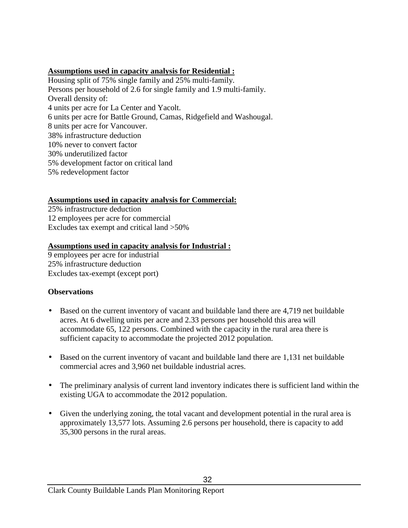### **Assumptions used in capacity analysis for Residential :**

Housing split of 75% single family and 25% multi-family. Persons per household of 2.6 for single family and 1.9 multi-family. Overall density of: 4 units per acre for La Center and Yacolt. 6 units per acre for Battle Ground, Camas, Ridgefield and Washougal. 8 units per acre for Vancouver. 38% infrastructure deduction 10% never to convert factor 30% underutilized factor 5% development factor on critical land 5% redevelopment factor

# **Assumptions used in capacity analysis for Commercial:**

25% infrastructure deduction 12 employees per acre for commercial Excludes tax exempt and critical land >50%

### **Assumptions used in capacity analysis for Industrial :**

9 employees per acre for industrial 25% infrastructure deduction Excludes tax-exempt (except port)

### **Observations**

- Based on the current inventory of vacant and buildable land there are 4,719 net buildable acres. At 6 dwelling units per acre and 2.33 persons per household this area will accommodate 65, 122 persons. Combined with the capacity in the rural area there is sufficient capacity to accommodate the projected 2012 population.
- Based on the current inventory of vacant and buildable land there are 1,131 net buildable commercial acres and 3,960 net buildable industrial acres.
- The preliminary analysis of current land inventory indicates there is sufficient land within the existing UGA to accommodate the 2012 population.
- Given the underlying zoning, the total vacant and development potential in the rural area is approximately 13,577 lots. Assuming 2.6 persons per household, there is capacity to add 35,300 persons in the rural areas.